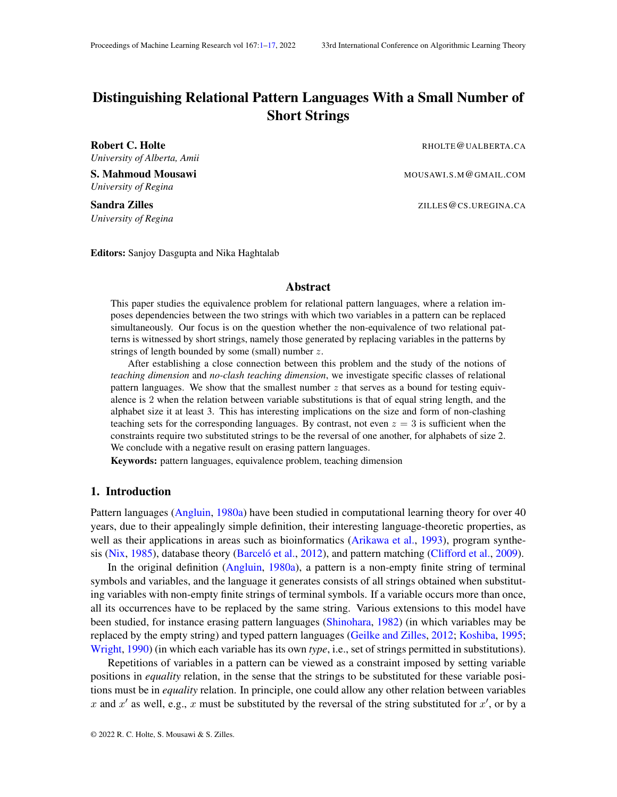# <span id="page-0-0"></span>Distinguishing Relational Pattern Languages With a Small Number of Short Strings

*University of Alberta, Amii*

S. Mahmoud Mousawi Mouse and Mouse and Mouse MOUSAWI.S.M@GMAIL.COM *University of Regina*

*University of Regina*

Robert C. Holte **Report C. Holte** RHOLTE **REPORT CALBERTA.CA** 

Sandra Zilles Zilles and the set of the set of the set of the set of the set of the set of the set of the set of the set of the set of the set of the set of the set of the set of the set of the set of the set of the set of

Editors: Sanjoy Dasgupta and Nika Haghtalab

## Abstract

This paper studies the equivalence problem for relational pattern languages, where a relation imposes dependencies between the two strings with which two variables in a pattern can be replaced simultaneously. Our focus is on the question whether the non-equivalence of two relational patterns is witnessed by short strings, namely those generated by replacing variables in the patterns by strings of length bounded by some (small) number z.

After establishing a close connection between this problem and the study of the notions of *teaching dimension* and *no-clash teaching dimension*, we investigate specific classes of relational pattern languages. We show that the smallest number  $z$  that serves as a bound for testing equivalence is 2 when the relation between variable substitutions is that of equal string length, and the alphabet size it at least 3. This has interesting implications on the size and form of non-clashing teaching sets for the corresponding languages. By contrast, not even  $z = 3$  is sufficient when the constraints require two substituted strings to be the reversal of one another, for alphabets of size 2. We conclude with a negative result on erasing pattern languages.

Keywords: pattern languages, equivalence problem, teaching dimension

#### 1. Introduction

Pattern languages [\(Angluin,](#page-12-0) [1980a\)](#page-12-0) have been studied in computational learning theory for over 40 years, due to their appealingly simple definition, their interesting language-theoretic properties, as well as their applications in areas such as bioinformatics [\(Arikawa et al.,](#page-12-1) [1993\)](#page-12-1), program synthe-sis [\(Nix,](#page-13-0) [1985\)](#page-13-0), database theory [\(Barcelo et al.](#page-12-2), [2012\)](#page-12-2), and pattern matching [\(Clifford et al.,](#page-12-3) [2009\)](#page-12-3).

In the original definition [\(Angluin,](#page-12-0) [1980a\)](#page-12-0), a pattern is a non-empty finite string of terminal symbols and variables, and the language it generates consists of all strings obtained when substituting variables with non-empty finite strings of terminal symbols. If a variable occurs more than once, all its occurrences have to be replaced by the same string. Various extensions to this model have been studied, for instance erasing pattern languages [\(Shinohara,](#page-13-1) [1982\)](#page-13-1) (in which variables may be replaced by the empty string) and typed pattern languages [\(Geilke and Zilles,](#page-13-2) [2012;](#page-13-2) [Koshiba,](#page-13-3) [1995;](#page-13-3) [Wright,](#page-13-4) [1990\)](#page-13-4) (in which each variable has its own *type*, i.e., set of strings permitted in substitutions).

Repetitions of variables in a pattern can be viewed as a constraint imposed by setting variable positions in *equality* relation, in the sense that the strings to be substituted for these variable positions must be in *equality* relation. In principle, one could allow any other relation between variables x and x' as well, e.g., x must be substituted by the reversal of the string substituted for  $x'$ , or by a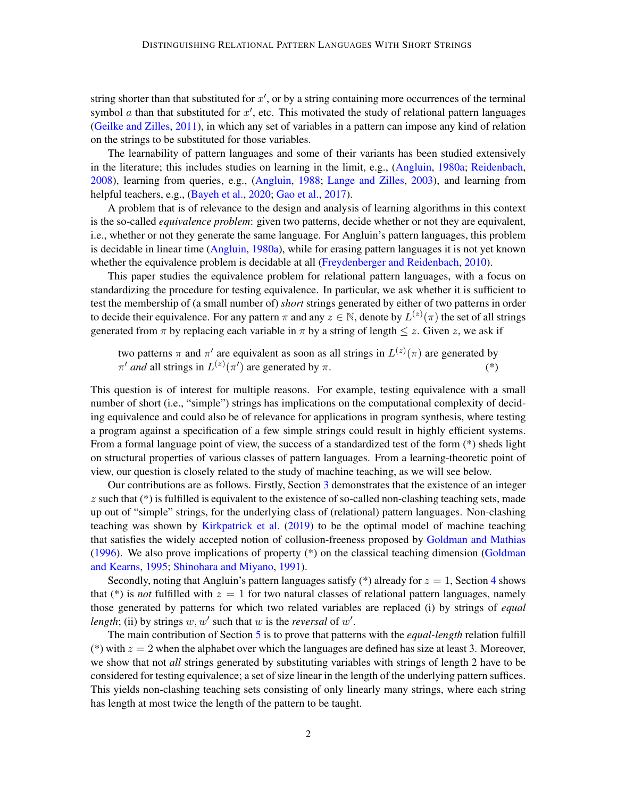string shorter than that substituted for  $x'$ , or by a string containing more occurrences of the terminal symbol  $\alpha$  than that substituted for  $x'$ , etc. This motivated the study of relational pattern languages [\(Geilke and Zilles,](#page-12-4) [2011\)](#page-12-4), in which any set of variables in a pattern can impose any kind of relation on the strings to be substituted for those variables.

The learnability of pattern languages and some of their variants has been studied extensively in the literature; this includes studies on learning in the limit, e.g., [\(Angluin,](#page-12-0) [1980a;](#page-12-0) [Reidenbach,](#page-13-5) [2008\)](#page-13-5), learning from queries, e.g., [\(Angluin,](#page-12-5) [1988;](#page-12-5) [Lange and Zilles,](#page-13-6) [2003\)](#page-13-6), and learning from helpful teachers, e.g., [\(Bayeh et al.,](#page-12-6) [2020;](#page-12-6) [Gao et al.,](#page-12-7) [2017\)](#page-12-7).

A problem that is of relevance to the design and analysis of learning algorithms in this context is the so-called *equivalence problem*: given two patterns, decide whether or not they are equivalent, i.e., whether or not they generate the same language. For Angluin's pattern languages, this problem is decidable in linear time [\(Angluin,](#page-12-0) [1980a\)](#page-12-0), while for erasing pattern languages it is not yet known whether the equivalence problem is decidable at all [\(Freydenberger and Reidenbach,](#page-12-8) [2010\)](#page-12-8).

This paper studies the equivalence problem for relational pattern languages, with a focus on standardizing the procedure for testing equivalence. In particular, we ask whether it is sufficient to test the membership of (a small number of) *short* strings generated by either of two patterns in order to decide their equivalence. For any pattern  $\pi$  and any  $z \in \mathbb{N}$ , denote by  $L^{(z)}(\pi)$  the set of all strings generated from  $\pi$  by replacing each variable in  $\pi$  by a string of length  $\leq z$ . Given z, we ask if

two patterns  $\pi$  and  $\pi'$  are equivalent as soon as all strings in  $L^{(z)}(\pi)$  are generated by  $\pi'$  *and* all strings in  $L^{(z)}(\pi')$  are generated by  $\pi$ . (\*)

This question is of interest for multiple reasons. For example, testing equivalence with a small number of short (i.e., "simple") strings has implications on the computational complexity of deciding equivalence and could also be of relevance for applications in program synthesis, where testing a program against a specification of a few simple strings could result in highly efficient systems. From a formal language point of view, the success of a standardized test of the form (\*) sheds light on structural properties of various classes of pattern languages. From a learning-theoretic point of view, our question is closely related to the study of machine teaching, as we will see below.

Our contributions are as follows. Firstly, Section [3](#page-3-0) demonstrates that the existence of an integer  $z$  such that  $(*)$  is fulfilled is equivalent to the existence of so-called non-clashing teaching sets, made up out of "simple" strings, for the underlying class of (relational) pattern languages. Non-clashing teaching was shown by [Kirkpatrick et al.](#page-13-7) [\(2019\)](#page-13-7) to be the optimal model of machine teaching that satisfies the widely accepted notion of collusion-freeness proposed by [Goldman and Mathias](#page-13-8) [\(1996\)](#page-13-8). We also prove implications of property (\*) on the classical teaching dimension [\(Goldman](#page-13-9) [and Kearns,](#page-13-9) [1995;](#page-13-9) [Shinohara and Miyano,](#page-13-10) [1991\)](#page-13-10).

Secondly, noting that Angluin's pattern languages satisfy  $(*)$  already for  $z = 1$ , Section [4](#page-6-0) shows that (\*) is *not* fulfilled with  $z = 1$  for two natural classes of relational pattern languages, namely those generated by patterns for which two related variables are replaced (i) by strings of *equal length*; (ii) by strings  $w, w'$  such that  $w$  is the *reversal* of  $w'$ .

The main contribution of Section [5](#page-6-1) is to prove that patterns with the *equal-length* relation fulfill (\*) with  $z = 2$  when the alphabet over which the languages are defined has size at least 3. Moreover, we show that not *all* strings generated by substituting variables with strings of length 2 have to be considered for testing equivalence; a set of size linear in the length of the underlying pattern suffices. This yields non-clashing teaching sets consisting of only linearly many strings, where each string has length at most twice the length of the pattern to be taught.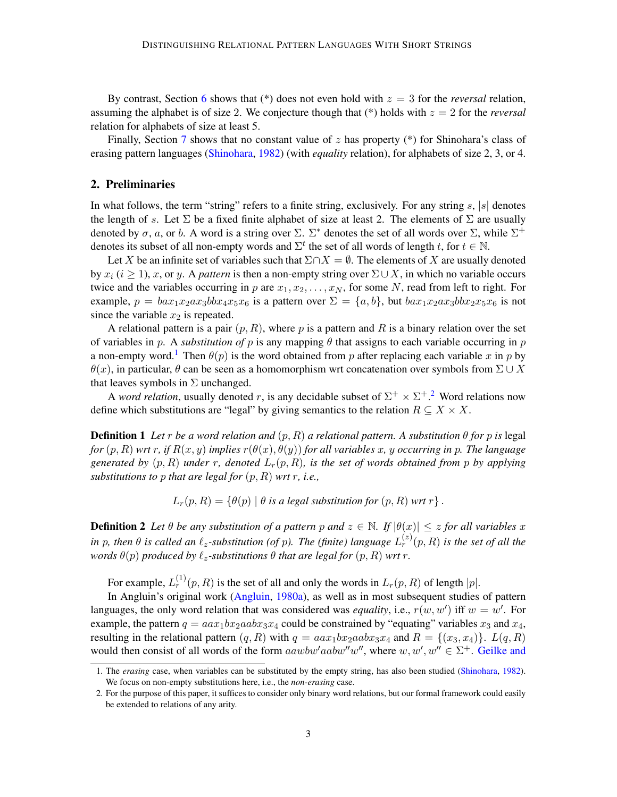By contrast, Section [6](#page-10-0) shows that  $(*)$  does not even hold with  $z = 3$  for the *reversal* relation, assuming the alphabet is of size 2. We conjecture though that  $(*)$  holds with  $z = 2$  for the *reversal* relation for alphabets of size at least 5.

Finally, Section [7](#page-11-0) shows that no constant value of z has property (\*) for Shinohara's class of erasing pattern languages [\(Shinohara,](#page-13-1) [1982\)](#page-13-1) (with *equality* relation), for alphabets of size 2, 3, or 4.

## 2. Preliminaries

In what follows, the term "string" refers to a finite string, exclusively. For any string  $s$ ,  $|s|$  denotes the length of s. Let  $\Sigma$  be a fixed finite alphabet of size at least 2. The elements of  $\Sigma$  are usually denoted by  $\sigma$ , a, or b. A word is a string over  $\Sigma$ .  $\Sigma^*$  denotes the set of all words over  $\Sigma$ , while  $\Sigma^+$ denotes its subset of all non-empty words and  $\Sigma^t$  the set of all words of length t, for  $t \in \mathbb{N}$ .

Let X be an infinite set of variables such that  $\Sigma \cap X = \emptyset$ . The elements of X are usually denoted by  $x_i$  ( $i \ge 1$ ), x, or y. A *pattern* is then a non-empty string over  $\Sigma \cup X$ , in which no variable occurs twice and the variables occurring in p are  $x_1, x_2, \ldots, x_N$ , for some N, read from left to right. For example,  $p = bax_1x_2ax_3bbx_4x_5x_6$  is a pattern over  $\Sigma = \{a, b\}$ , but  $bax_1x_2ax_3bbx_2x_5x_6$  is not since the variable  $x_2$  is repeated.

A relational pattern is a pair  $(p, R)$ , where p is a pattern and R is a binary relation over the set of variables in p. A *substitution of* p is any mapping  $\theta$  that assigns to each variable occurring in p a non-empty word.<sup>[1](#page-2-0)</sup> Then  $\theta(p)$  is the word obtained from p after replacing each variable x in p by  $\theta(x)$ , in particular,  $\theta$  can be seen as a homomorphism wrt concatenation over symbols from  $\Sigma \cup X$ that leaves symbols in  $\Sigma$  unchanged.

A *word relation*, usually denoted r, is any decidable subset of  $\Sigma^+ \times \Sigma^+$ .<sup>[2](#page-2-1)</sup> Word relations now define which substitutions are "legal" by giving semantics to the relation  $R \subseteq X \times X$ .

**Definition 1** Let r be a word relation and  $(p, R)$  a relational pattern. A substitution  $\theta$  for p is legal *for*  $(p, R)$  *wrt* r, *if*  $R(x, y)$  *implies*  $r(\theta(x), \theta(y))$  *for all variables* x, y *occurring in* p. The language *generated by*  $(p, R)$  *under* r, denoted  $L_r(p, R)$ *, is the set of words obtained from p by applying substitutions to* p *that are legal for*  $(p, R)$  *wrt*  $r$ *, i.e.,* 

 $L_r(p, R) = \{ \theta(p) | \theta$  *is a legal substitution for*  $(p, R)$  *wrt*  $r \}$ .

**Definition 2** Let  $\theta$  be any substitution of a pattern p and  $z \in \mathbb{N}$ . If  $|\theta(x)| \leq z$  for all variables x in p, then  $\theta$  is called an  $\ell_z$ -substitution (of p). The (finite) language  $L_r^{(z)}(p,R)$  is the set of all the *words*  $\theta(p)$  *produced by*  $\ell_z$ -substitutions  $\theta$  *that are legal for*  $(p, R)$  *wrt* r.

For example,  $L_r^{(1)}(p, R)$  is the set of all and only the words in  $L_r(p, R)$  of length  $|p|$ .

In Angluin's original work [\(Angluin,](#page-12-0) [1980a\)](#page-12-0), as well as in most subsequent studies of pattern languages, the only word relation that was considered was *equality*, i.e.,  $r(w, w')$  iff  $w = w'$ . For example, the pattern  $q = aax_1bx_2aabx_3x_4$  could be constrained by "equating" variables  $x_3$  and  $x_4$ , resulting in the relational pattern  $(q, R)$  with  $q = aax_1bx_2aabx_3x_4$  and  $R = \{(x_3, x_4)\}\$ .  $L(q, R)$ would then consist of all words of the form  $aawbw'aabw''w''$ , where  $w, w', w'' \in \Sigma^+$ . [Geilke and](#page-12-4)

<span id="page-2-0"></span><sup>1.</sup> The *erasing* [case, when variables can be substituted by the empty string, has also been studied \(Shinohara,](#page-12-4) [1982\)](#page-13-1). [We focus on non-empty substitutions here, i.e., the](#page-12-4) *non-erasing* case.

<span id="page-2-1"></span><sup>2.</sup> [For the purpose of this paper, it suffices to consider only binary word relations, but our formal framework could easily](#page-12-4) [be extended to relations of any arity.](#page-12-4)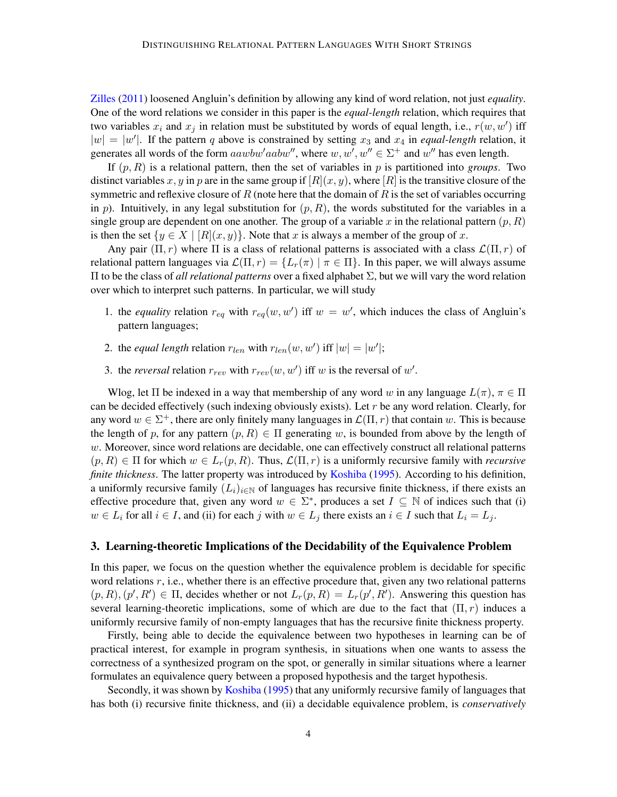[Zilles](#page-12-4) [\(2011\)](#page-12-4) loosened Angluin's definition by allowing any kind of word relation, not just *equality*. One of the word relations we consider in this paper is the *equal-length* relation, which requires that two variables  $x_i$  and  $x_j$  in relation must be substituted by words of equal length, i.e.,  $r(w, w')$  iff  $|w| = |w'|$ . If the pattern q above is constrained by setting  $x_3$  and  $x_4$  in *equal-length* relation, it generates all words of the form  $aawbw' aabw''$ , where  $w, w', w'' \in \Sigma^+$  and  $w''$  has even length.

If  $(p, R)$  is a relational pattern, then the set of variables in p is partitioned into *groups*. Two distinct variables x, y in p are in the same group if  $[R](x, y)$ , where  $[R]$  is the transitive closure of the symmetric and reflexive closure of R (note here that the domain of R is the set of variables occurring in p). Intuitively, in any legal substitution for  $(p, R)$ , the words substituted for the variables in a single group are dependent on one another. The group of a variable x in the relational pattern  $(p, R)$ is then the set  $\{y \in X \mid [R](x, y)\}\)$ . Note that x is always a member of the group of x.

Any pair  $(\Pi, r)$  where  $\Pi$  is a class of relational patterns is associated with a class  $\mathcal{L}(\Pi, r)$  of relational pattern languages via  $\mathcal{L}(\Pi, r) = \{L_r(\pi) | \pi \in \Pi\}$ . In this paper, we will always assume Π to be the class of *all relational patterns* over a fixed alphabet Σ, but we will vary the word relation over which to interpret such patterns. In particular, we will study

- 1. the *equality* relation  $r_{eq}$  with  $r_{eq}(w, w')$  iff  $w = w'$ , which induces the class of Angluin's pattern languages;
- 2. the *equal length* relation  $r_{len}$  with  $r_{len}(w, w')$  iff  $|w| = |w'|$ ;
- 3. the *reversal* relation  $r_{rev}$  with  $r_{rev}(w, w')$  iff w is the reversal of w'.

Wlog, let  $\Pi$  be indexed in a way that membership of any word w in any language  $L(\pi)$ ,  $\pi \in \Pi$ can be decided effectively (such indexing obviously exists). Let  $r$  be any word relation. Clearly, for any word  $w \in \Sigma^+$ , there are only finitely many languages in  $\mathcal{L}(\Pi, r)$  that contain w. This is because the length of p, for any pattern  $(p, R) \in \Pi$  generating w, is bounded from above by the length of  $w$ . Moreover, since word relations are decidable, one can effectively construct all relational patterns  $(p, R) \in \Pi$  for which  $w \in L_r(p, R)$ . Thus,  $\mathcal{L}(\Pi, r)$  is a uniformly recursive family with *recursive finite thickness*. The latter property was introduced by [Koshiba](#page-13-3) [\(1995\)](#page-13-3). According to his definition, a uniformly recursive family  $(L_i)_{i\in\mathbb{N}}$  of languages has recursive finite thickness, if there exists an effective procedure that, given any word  $w \in \Sigma^*$ , produces a set  $I \subseteq \mathbb{N}$  of indices such that (i)  $w \in L_i$  for all  $i \in I$ , and (ii) for each j with  $w \in L_i$  there exists an  $i \in I$  such that  $L_i = L_j$ .

#### <span id="page-3-0"></span>3. Learning-theoretic Implications of the Decidability of the Equivalence Problem

In this paper, we focus on the question whether the equivalence problem is decidable for specific word relations  $r$ , i.e., whether there is an effective procedure that, given any two relational patterns  $(p, R), (p', R') \in \Pi$ , decides whether or not  $L_r(p, R) = L_r(p', R')$ . Answering this question has several learning-theoretic implications, some of which are due to the fact that  $(\Pi, r)$  induces a uniformly recursive family of non-empty languages that has the recursive finite thickness property.

Firstly, being able to decide the equivalence between two hypotheses in learning can be of practical interest, for example in program synthesis, in situations when one wants to assess the correctness of a synthesized program on the spot, or generally in similar situations where a learner formulates an equivalence query between a proposed hypothesis and the target hypothesis.

Secondly, it was shown by [Koshiba](#page-13-3) [\(1995\)](#page-13-3) that any uniformly recursive family of languages that has both (i) recursive finite thickness, and (ii) a decidable equivalence problem, is *conservatively*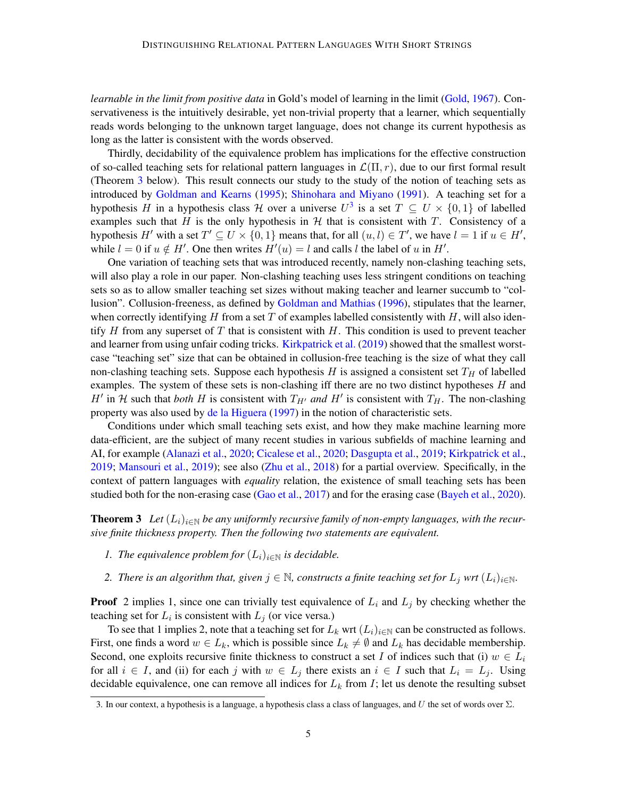*learnable in the limit from positive data* in Gold's model of learning in the limit [\(Gold,](#page-13-11) [1967\)](#page-13-11). Conservativeness is the intuitively desirable, yet non-trivial property that a learner, which sequentially reads words belonging to the unknown target language, does not change its current hypothesis as long as the latter is consistent with the words observed.

Thirdly, decidability of the equivalence problem has implications for the effective construction of so-called teaching sets for relational pattern languages in  $\mathcal{L}(\Pi, r)$ , due to our first formal result (Theorem [3](#page-4-0) below). This result connects our study to the study of the notion of teaching sets as introduced by [Goldman and Kearns](#page-13-9) [\(1995\)](#page-13-9); [Shinohara and Miyano](#page-13-10) [\(1991\)](#page-13-10). A teaching set for a hypothesis H in a hypothesis class H over a universe  $U^3$  $U^3$  is a set  $T \subseteq U \times \{0,1\}$  of labelled examples such that H is the only hypothesis in  $H$  that is consistent with T. Consistency of a hypothesis H' with a set  $T' \subseteq U \times \{0, 1\}$  means that, for all  $(u, l) \in T'$ , we have  $l = 1$  if  $u \in H'$ , while  $l = 0$  if  $u \notin H'$ . One then writes  $H'(u) = l$  and calls l the label of u in H'.

One variation of teaching sets that was introduced recently, namely non-clashing teaching sets, will also play a role in our paper. Non-clashing teaching uses less stringent conditions on teaching sets so as to allow smaller teaching set sizes without making teacher and learner succumb to "collusion". Collusion-freeness, as defined by [Goldman and Mathias](#page-13-8) [\(1996\)](#page-13-8), stipulates that the learner, when correctly identifying H from a set T of examples labelled consistently with H, will also identify H from any superset of T that is consistent with H. This condition is used to prevent teacher and learner from using unfair coding tricks. [Kirkpatrick et al.](#page-13-7) [\(2019\)](#page-13-7) showed that the smallest worstcase "teaching set" size that can be obtained in collusion-free teaching is the size of what they call non-clashing teaching sets. Suppose each hypothesis H is assigned a consistent set  $T_H$  of labelled examples. The system of these sets is non-clashing iff there are no two distinct hypotheses  $H$  and H' in H such that *both* H is consistent with  $T_{H'}$  and H' is consistent with  $T_H$ . The non-clashing property was also used by [de la Higuera](#page-12-9) [\(1997\)](#page-12-9) in the notion of characteristic sets.

Conditions under which small teaching sets exist, and how they make machine learning more data-efficient, are the subject of many recent studies in various subfields of machine learning and AI, for example [\(Alanazi et al.,](#page-12-10) [2020;](#page-12-10) [Cicalese et al.,](#page-12-11) [2020;](#page-12-11) [Dasgupta et al.,](#page-12-12) [2019;](#page-12-12) [Kirkpatrick et al.,](#page-13-7) [2019;](#page-13-7) [Mansouri et al.,](#page-13-12) [2019\)](#page-13-12); see also [\(Zhu et al.,](#page-13-13) [2018\)](#page-13-13) for a partial overview. Specifically, in the context of pattern languages with *equality* relation, the existence of small teaching sets has been studied both for the non-erasing case [\(Gao et al.,](#page-12-7) [2017\)](#page-12-7) and for the erasing case [\(Bayeh et al.,](#page-12-6) [2020\)](#page-12-6).

<span id="page-4-0"></span>**Theorem 3** Let  $(L_i)_{i \in \mathbb{N}}$  be any uniformly recursive family of non-empty languages, with the recur*sive finite thickness property. Then the following two statements are equivalent.*

- *1. The equivalence problem for*  $(L_i)_{i \in \mathbb{N}}$  *is decidable.*
- *2. There is an algorithm that, given*  $j \in \mathbb{N}$ *, constructs a finite teaching set for*  $L_j$  *wrt*  $(L_i)_{i \in \mathbb{N}}$ *.*

**Proof** 2 implies 1, since one can trivially test equivalence of  $L_i$  and  $L_j$  by checking whether the teaching set for  $L_i$  is consistent with  $L_j$  (or vice versa.)

To see that 1 implies 2, note that a teaching set for  $L_k$  wrt  $(L_i)_{i\in\mathbb{N}}$  can be constructed as follows. First, one finds a word  $w \in L_k$ , which is possible since  $L_k \neq \emptyset$  and  $L_k$  has decidable membership. Second, one exploits recursive finite thickness to construct a set I of indices such that (i)  $w \in L_i$ for all  $i \in I$ , and (ii) for each j with  $w \in L_j$  there exists an  $i \in I$  such that  $L_i = L_j$ . Using decidable equivalence, one can remove all indices for  $L_k$  from I; let us denote the resulting subset

<span id="page-4-1"></span><sup>3.</sup> In our context, a hypothesis is a language, a hypothesis class a class of languages, and U the set of words over  $\Sigma$ .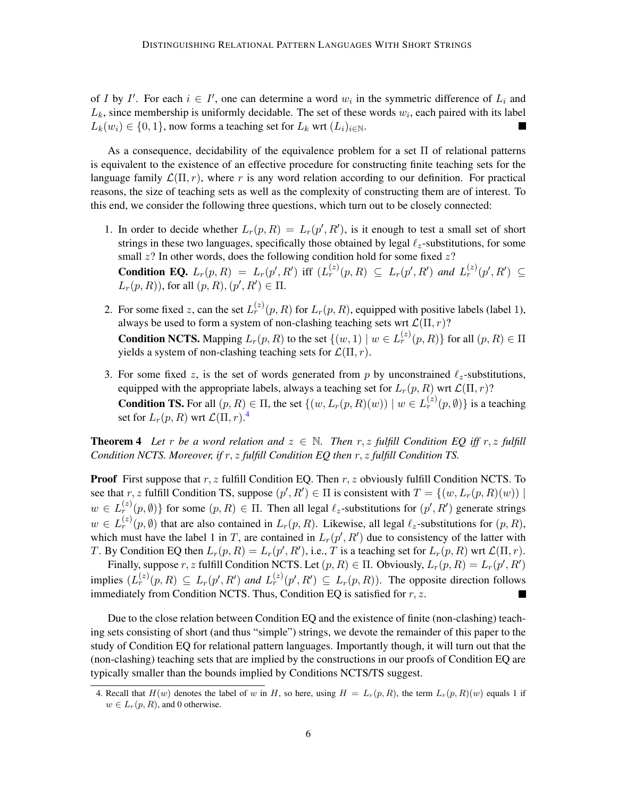of I by I'. For each  $i \in I'$ , one can determine a word  $w_i$  in the symmetric difference of  $L_i$  and  $L_k$ , since membership is uniformly decidable. The set of these words  $w_i$ , each paired with its label  $L_k(w_i) \in \{0, 1\}$ , now forms a teaching set for  $L_k$  wrt  $(L_i)_{i \in \mathbb{N}}$ . I.

As a consequence, decidability of the equivalence problem for a set Π of relational patterns is equivalent to the existence of an effective procedure for constructing finite teaching sets for the language family  $\mathcal{L}(\Pi, r)$ , where r is any word relation according to our definition. For practical reasons, the size of teaching sets as well as the complexity of constructing them are of interest. To this end, we consider the following three questions, which turn out to be closely connected:

- 1. In order to decide whether  $L_r(p, R) = L_r(p', R')$ , is it enough to test a small set of short strings in these two languages, specifically those obtained by legal  $\ell_z$ -substitutions, for some small  $z$ ? In other words, does the following condition hold for some fixed  $z$ ? **Condition EQ.**  $L_r(p, R) = L_r(p', R')$  iff  $(L_r^{(z)}(p, R) \subseteq L_r(p', R')$  and  $L_r^{(z)}(p', R') \subseteq$  $L_r(p, R)$ ), for all  $(p, R), (p', R') \in \Pi$ .
- 2. For some fixed z, can the set  $L_r^{(z)}(p, R)$  for  $L_r(p, R)$ , equipped with positive labels (label 1), always be used to form a system of non-clashing teaching sets wrt  $\mathcal{L}(\Pi, r)$ ? **Condition NCTS.** Mapping  $L_r(p, R)$  to the set  $\{(w, 1) | w \in L_r^{(z)}(p, R)\}$  for all  $(p, R) \in \Pi$ yields a system of non-clashing teaching sets for  $\mathcal{L}(\Pi, r)$ .
- 3. For some fixed z, is the set of words generated from p by unconstrained  $\ell_z$ -substitutions, equipped with the appropriate labels, always a teaching set for  $L_r(p, R)$  wrt  $\mathcal{L}(\Pi, r)$ ? **Condition TS.** For all  $(p, R) \in \Pi$ , the set  $\{(w, L_r(p, R)(w)) \mid w \in L_r^{(z)}(p, \emptyset)\}$  is a teaching set for  $L_r(p,R)$  wrt  $\mathcal{L}(\Pi,r).^4$  $\mathcal{L}(\Pi,r).^4$

<span id="page-5-1"></span>**Theorem 4** Let r be a word relation and  $z \in \mathbb{N}$ . Then r, z fulfill Condition EQ iff r, z fulfill *Condition NCTS. Moreover, if* r, z *fulfill Condition EQ then* r, z *fulfill Condition TS.*

**Proof** First suppose that  $r, z$  fulfill Condition EQ. Then  $r, z$  obviously fulfill Condition NCTS. To see that r, z fulfill Condition TS, suppose  $(p', R') \in \Pi$  is consistent with  $T = \{(w, L_r(p, R)(w)) \mid$  $w \in L_r^{(z)}(p, \emptyset)$  for some  $(p, R) \in \Pi$ . Then all legal  $\ell_z$ -substitutions for  $(p', R')$  generate strings  $w \in L_r^{(z)}(p, \emptyset)$  that are also contained in  $L_r(p, R)$ . Likewise, all legal  $\ell_z$ -substitutions for  $(p, R)$ , which must have the label 1 in T, are contained in  $L_r(p', R')$  due to consistency of the latter with T. By Condition EQ then  $L_r(p, R) = L_r(p', R')$ , i.e., T is a teaching set for  $L_r(p, R)$  wrt  $\mathcal{L}(\Pi, r)$ .

Finally, suppose r, z fulfill Condition NCTS. Let  $(p, R) \in \Pi$ . Obviously,  $L_r(p, R) = L_r(p', R')$ implies  $(L_r^{(z)}(p, R) \subseteq L_r(p', R')$  and  $L_r^{(z)}(p', R') \subseteq L_r(p, R)$ ). The opposite direction follows immediately from Condition NCTS. Thus, Condition EQ is satisfied for  $r, z$ .  $\blacksquare$ 

Due to the close relation between Condition EQ and the existence of finite (non-clashing) teaching sets consisting of short (and thus "simple") strings, we devote the remainder of this paper to the study of Condition EQ for relational pattern languages. Importantly though, it will turn out that the (non-clashing) teaching sets that are implied by the constructions in our proofs of Condition EQ are typically smaller than the bounds implied by Conditions NCTS/TS suggest.

<span id="page-5-0"></span><sup>4.</sup> Recall that  $H(w)$  denotes the label of w in H, so here, using  $H = L_r(p, R)$ , the term  $L_r(p, R)(w)$  equals 1 if  $w \in L_r(p, R)$ , and 0 otherwise.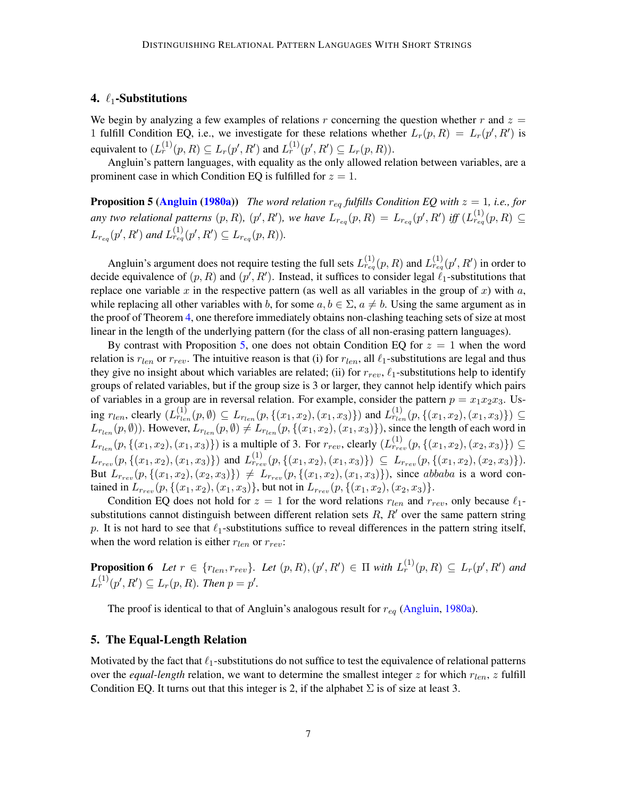#### <span id="page-6-0"></span>4.  $\ell_1$ -Substitutions

We begin by analyzing a few examples of relations r concerning the question whether r and  $z =$ 1 fulfill Condition EQ, i.e., we investigate for these relations whether  $L_r(p, R) = L_r(p', R')$  is equivalent to  $(L_r^{(1)}(p, R) \subseteq L_r(p', R')$  and  $L_r^{(1)}(p', R') \subseteq L_r(p, R)$ ).

Angluin's pattern languages, with equality as the only allowed relation between variables, are a prominent case in which Condition EQ is fulfilled for  $z = 1$ .

<span id="page-6-2"></span>**Proposition 5 [\(Angluin](#page-12-0) [\(1980a\)](#page-12-0))** *The word relation*  $r_{eq}$  *fulfills Condition EQ with*  $z = 1$ *, i.e., for* any two relational patterns  $(p, R)$ ,  $(p', R')$ , we have  $L_{r_{eq}}(p, R) = L_{r_{eq}}(p', R')$  iff  $(L_{r_{eq}}^{(1)}(p, R) \subseteq$  $L_{r_{eq}}(p', R')$  and  $L_{r_{eq}}^{(1)}(p', R') \subseteq L_{r_{eq}}(p, R)$ ).

Angluin's argument does not require testing the full sets  $L_{reg}^{(1)}(p, R)$  and  $L_{reg}^{(1)}(p', R')$  in order to decide equivalence of  $(p, R)$  and  $(p', R')$ . Instead, it suffices to consider legal  $\ell_1$ -substitutions that replace one variable  $x$  in the respective pattern (as well as all variables in the group of  $x$ ) with  $a$ , while replacing all other variables with b, for some  $a, b \in \Sigma$ ,  $a \neq b$ . Using the same argument as in the proof of Theorem [4,](#page-5-1) one therefore immediately obtains non-clashing teaching sets of size at most linear in the length of the underlying pattern (for the class of all non-erasing pattern languages).

By contrast with Proposition [5,](#page-6-2) one does not obtain Condition EQ for  $z = 1$  when the word relation is  $r_{len}$  or  $r_{rev}$ . The intuitive reason is that (i) for  $r_{len}$ , all  $\ell_1$ -substitutions are legal and thus they give no insight about which variables are related; (ii) for  $r_{rev}$ ,  $\ell_1$ -substitutions help to identify groups of related variables, but if the group size is 3 or larger, they cannot help identify which pairs of variables in a group are in reversal relation. For example, consider the pattern  $p = x_1x_2x_3$ . Using  $r_{len}$ , clearly  $(L_{r_{len}}^{(1)}(p, \emptyset) \subseteq L_{r_{len}}(p, \{(x_1, x_2), (x_1, x_3)\})$  and  $L_{r_{len}}^{(1)}(p, \{(x_1, x_2), (x_1, x_3)\}) \subseteq$  $L_{r_{len}}(p, \emptyset)$ ). However,  $L_{r_{len}}(p, \emptyset) \neq L_{r_{len}}(p, \{(x_1, x_2), (x_1, x_3)\})$ , since the length of each word in  $L_{r_{len}}(p, \{(x_1, x_2), (x_1, x_3)\})$  is a multiple of 3. For  $r_{rev}$ , clearly  $(L_{r_{rev}}^{(1)}(p, \{(x_1, x_2), (x_2, x_3)\}) \subseteq$  $L_{r_{rev}}(p, \{(x_1, x_2), (x_1, x_3)\})$  and  $L_{r_{rev}}^{(1)}(p, \{(x_1, x_2), (x_1, x_3)\}) \subseteq L_{r_{rev}}(p, \{(x_1, x_2), (x_2, x_3)\}).$ But  $L_{r_{rev}}(p, \{(x_1, x_2), (x_2, x_3)\}) \neq L_{r_{rev}}(p, \{(x_1, x_2), (x_1, x_3)\})$ , since abbaba is a word contained in  $L_{r_{rev}}(p, \{(x_1, x_2), (x_1, x_3)\},$  but not in  $L_{r_{rev}}(p, \{(x_1, x_2), (x_2, x_3)\}).$ 

Condition EQ does not hold for  $z = 1$  for the word relations  $r_{len}$  and  $r_{rev}$ , only because  $\ell_1$ substitutions cannot distinguish between different relation sets  $R$ ,  $R'$  over the same pattern string p. It is not hard to see that  $\ell_1$ -substitutions suffice to reveal differences in the pattern string itself, when the word relation is either  $r_{len}$  or  $r_{rev}$ :

<span id="page-6-4"></span>**Proposition 6** Let  $r \in \{r_{len}, r_{rev}\}$ . Let  $(p, R), (p', R') \in \Pi$  with  $L_r^{(1)}(p, R) \subseteq L_r(p', R')$  and  $L_r^{(1)}(p', R') \subseteq L_r(p, R)$ . Then  $p = p'$ .

The proof is identical to that of Angluin's analogous result for  $r_{eq}$  [\(Angluin,](#page-12-0) [1980a\)](#page-12-0).

#### <span id="page-6-1"></span>5. The Equal-Length Relation

<span id="page-6-3"></span>Motivated by the fact that  $\ell_1$ -substitutions do not suffice to test the equivalence of relational patterns over the *equal-length* relation, we want to determine the smallest integer  $z$  for which  $r_{len}$ ,  $z$  fulfill Condition EQ. It turns out that this integer is 2, if the alphabet  $\Sigma$  is of size at least 3.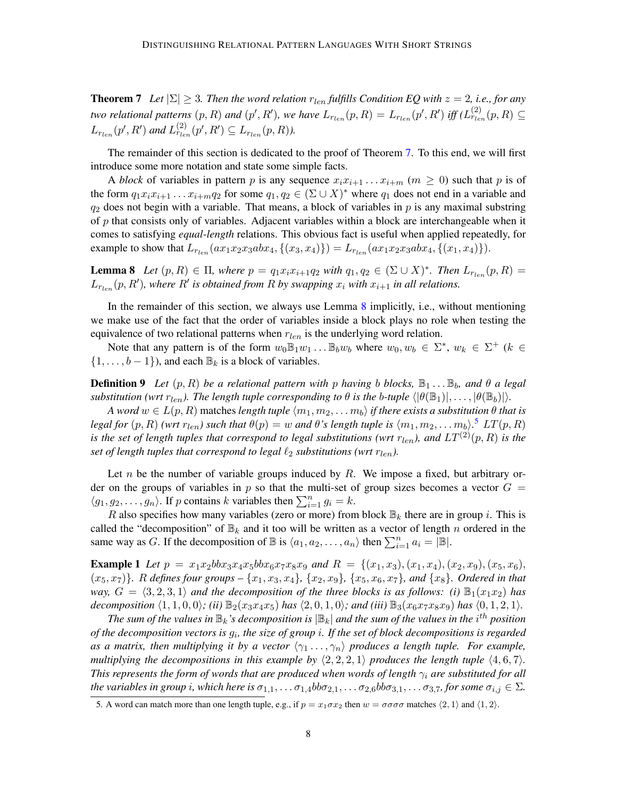**Theorem 7** *Let*  $|\Sigma| \geq 3$ *. Then the word relation*  $r_{len}$  *fulfills Condition EQ with*  $z = 2$ *, i.e., for any two relational patterns*  $(p, R)$  *and*  $(p', R')$ , we have  $L_{r_{len}}(p, R) = L_{r_{len}}(p', R')$  *iff*  $(L_{r_{len}}^{(2)}(p, R) \subseteq$  $L_{r_{len}}(p', R')$  and  $L_{r_{len}}^{(2)}(p', R') \subseteq L_{r_{len}}(p, R)$ ).

The remainder of this section is dedicated to the proof of Theorem [7.](#page-6-3) To this end, we will first introduce some more notation and state some simple facts.

A *block* of variables in pattern p is any sequence  $x_i x_{i+1} \ldots x_{i+m}$  ( $m \ge 0$ ) such that p is of the form  $q_1x_ix_{i+1} \ldots x_{i+m}q_2$  for some  $q_1, q_2 \in (\Sigma \cup X)^*$  where  $q_1$  does not end in a variable and  $q_2$  does not begin with a variable. That means, a block of variables in p is any maximal substring of  $p$  that consists only of variables. Adjacent variables within a block are interchangeable when it comes to satisfying *equal-length* relations. This obvious fact is useful when applied repeatedly, for example to show that  $L_{r_{len}}(ax_1x_2x_3abx_4, \{(x_3, x_4\}) = L_{r_{len}}(ax_1x_2x_3abx_4, \{(x_1, x_4\})).$ 

<span id="page-7-0"></span>**Lemma 8** Let  $(p, R) \in \Pi$ , where  $p = q_1 x_i x_{i+1} q_2$  with  $q_1, q_2 \in (\Sigma \cup X)^*$ . Then  $L_{r_{len}}(p, R) =$  $L_{r_{len}}(p, R')$ , where  $R'$  is obtained from  $R$  by swapping  $x_i$  with  $x_{i+1}$  in all relations.

In the remainder of this section, we always use Lemma [8](#page-7-0) implicitly, i.e., without mentioning we make use of the fact that the order of variables inside a block plays no role when testing the equivalence of two relational patterns when  $r_{len}$  is the underlying word relation.

Note that any pattern is of the form  $w_0 \mathbb{B}_1 w_1 \dots \mathbb{B}_b w_b$  where  $w_0, w_b \in \Sigma^*$ ,  $w_k \in \Sigma^+$  ( $k \in$  $\{1, \ldots, b-1\}$ , and each  $\mathbb{B}_k$  is a block of variables.

**Definition 9** Let  $(p, R)$  be a relational pattern with p having b blocks,  $\mathbb{B}_1 \ldots \mathbb{B}_b$ , and  $\theta$  a legal *substitution (wrt*  $r_{len}$ ). The length tuple corresponding to  $\theta$  is the b-tuple  $\langle |\theta(\mathbb{B}_1)|, \ldots, |\theta(\mathbb{B}_b)| \rangle$ .

*A word*  $w \in L(p, R)$  matches *length tuple*  $\langle m_1, m_2, \ldots, m_b \rangle$  *if there exists a substitution*  $\theta$  *that is legal for*  $(p, R)$  *(wrt*  $r_{len}$ *) such that*  $\theta(p) = w$  *and*  $\theta$ *'s length tuple is*  $\langle m_1, m_2, \ldots m_b \rangle$ .<sup>[5](#page-7-1)</sup>  $LT(p, R)$ *is the set of length tuples that correspond to legal substitutions (wrt*  $r_{len}$ ), and  $LT^{(2)}(p, R)$  *is the set of length tuples that correspond to legal*  $\ell_2$  *substitutions (wrt*  $r_{len}$ ).

Let n be the number of variable groups induced by  $R$ . We impose a fixed, but arbitrary order on the groups of variables in p so that the multi-set of group sizes becomes a vector  $G =$  $\langle g_1, g_2, \dots, g_n \rangle$ . If p contains k variables then  $\sum_{i=1}^n g_i = k$ .

R also specifies how many variables (zero or more) from block  $\mathbb{B}_k$  there are in group i. This is called the "decomposition" of  $\mathbb{B}_k$  and it too will be written as a vector of length n ordered in the same way as G. If the decomposition of  $\mathbb B$  is  $\langle a_1, a_2, \ldots, a_n \rangle$  then  $\sum_{i=1}^n a_i = |\mathbb B|$ .

**Example 1** Let  $p = x_1x_2bbx_3x_4x_5bbx_6x_7x_8x_9$  and  $R = \{(x_1, x_3), (x_1, x_4), (x_2, x_9), (x_5, x_6),$  $(x_5, x_7)$ *. R defines four groups*  $-\{x_1, x_3, x_4\}$ ,  $\{x_2, x_9\}$ ,  $\{x_5, x_6, x_7\}$ *, and*  $\{x_8\}$ *. Ordered in that way,*  $G = \langle 3, 2, 3, 1 \rangle$  *and the decomposition of the three blocks is as follows: (i)*  $\mathbb{B}_1(x_1x_2)$  *has decomposition*  $\langle 1, 1, 0, 0 \rangle$ *; (ii)*  $\mathbb{B}_2(x_3x_4x_5)$  *has*  $\langle 2, 0, 1, 0 \rangle$ *; and (iii)*  $\mathbb{B}_3(x_6x_7x_8x_9)$  *has*  $\langle 0, 1, 2, 1 \rangle$ *.* 

The sum of the values in  $\mathbb{B}_k$  's decomposition is  $|\mathbb{B}_k|$  and the sum of the values in the  $i^{th}$  position *of the decomposition vectors is* g<sup>i</sup> *, the size of group* i*. If the set of block decompositions is regarded as a matrix, then multiplying it by a vector*  $\langle \gamma_1 \ldots, \gamma_n \rangle$  *produces a length tuple. For example, multiplying the decompositions in this example by*  $\langle 2, 2, 2, 1 \rangle$  *produces the length tuple*  $\langle 4, 6, 7 \rangle$ *. This represents the form of words that are produced when words of length* γ<sup>i</sup> *are substituted for all the variables in group i, which here is*  $\sigma_{1,1}, \ldots, \sigma_{1,4}$ *bb* $\sigma_{2,1}, \ldots, \sigma_{2,6}$ *bb* $\sigma_{3,1}, \ldots, \sigma_{3,7}$ *, for some*  $\sigma_{i,j} \in \Sigma$ *.* 

<span id="page-7-2"></span><span id="page-7-1"></span><sup>5.</sup> A word can match more than one length tuple, e.g., if  $p = x_1 \sigma x_2$  then  $w = \sigma \sigma \sigma \sigma$  matches  $\langle 2, 1 \rangle$  and  $\langle 1, 2 \rangle$ .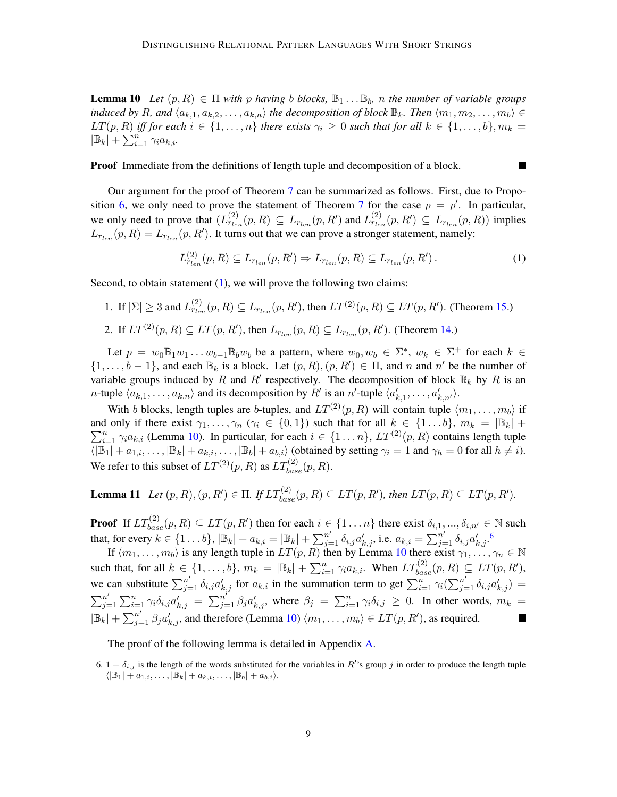**Lemma 10** Let  $(p, R) \in \Pi$  with p having b blocks,  $\mathbb{B}_1 \dots \mathbb{B}_b$ , n the number of variable groups *induced by* R, and  $\langle a_{k,1}, a_{k,2}, \ldots, a_{k,n} \rangle$  the decomposition of block  $\mathbb{B}_k$ . Then  $\langle m_1, m_2, \ldots, m_b \rangle \in$  $LT(p, R)$  *iff for each*  $i \in \{1, ..., n\}$  *there exists*  $\gamma_i \geq 0$  *such that for all*  $k \in \{1, ..., b\}$ ,  $m_k =$  $|\mathbb{B}_k| + \sum_{i=1}^n \gamma_i a_{k,i}$ .

Proof Immediate from the definitions of length tuple and decomposition of a block.

Our argument for the proof of Theorem [7](#page-6-3) can be summarized as follows. First, due to Propo-sition [6,](#page-6-4) we only need to prove the statement of Theorem [7](#page-6-3) for the case  $p = p'$ . In particular, we only need to prove that  $(L_{r_{len}}^{(2)}(p, R) \subseteq L_{r_{len}}(p, R')$  and  $L_{r_{len}}^{(2)}(p, R') \subseteq L_{r_{len}}(p, R)$  implies  $L_{r_{len}}(p, R) = L_{r_{len}}(p, R')$ . It turns out that we can prove a stronger statement, namely:

<span id="page-8-0"></span>
$$
L_{r_{len}}^{(2)}(p,R) \subseteq L_{r_{len}}(p,R') \Rightarrow L_{r_{len}}(p,R) \subseteq L_{r_{len}}(p,R'). \tag{1}
$$

П

Second, to obtain statement [\(1\)](#page-8-0), we will prove the following two claims:

1. If 
$$
|\Sigma|\geq 3
$$
 and  $L_{r_{len}}^{(2)}(p,R)\subseteq L_{r_{len}}(p,R')$ , then  $LT^{(2)}(p,R)\subseteq LT(p,R')$ . (Theorem 15.)

2. If  $LT^{(2)}(p, R) \subseteq LT(p, R')$ , then  $L_{r_{len}}(p, R) \subseteq L_{r_{len}}(p, R')$ . (Theorem [14.](#page-9-1))

Let  $p = w_0 \mathbb{B}_1 w_1 \dots w_{b-1} \mathbb{B}_b w_b$  be a pattern, where  $w_0, w_b \in \Sigma^*$ ,  $w_k \in \Sigma^+$  for each  $k \in \mathbb{R}$  $\{1,\ldots,b-1\}$ , and each  $\mathbb{B}_k$  is a block. Let  $(p,R), (p,R') \in \Pi$ , and n and n' be the number of variable groups induced by R and R' respectively. The decomposition of block  $\mathbb{B}_k$  by R is an *n*-tuple  $\langle a_{k,1}, \ldots, a_{k,n} \rangle$  and its decomposition by R' is an *n'*-tuple  $\langle a'_{k,1}, \ldots, a'_{k,n'} \rangle$ .

With b blocks, length tuples are b-tuples, and  $LT^{(2)}(p, R)$  will contain tuple  $\langle m_1, \ldots, m_b \rangle$  if  $\sum_{i=1}^{n} \gamma_i a_{k,i}$  (Lemma [10\)](#page-7-2). In particular, for each  $i \in \{1 \dots n\}$ ,  $LT^{(2)}(p, R)$  contains length tuple and only if there exist  $\gamma_1, \ldots, \gamma_n$  ( $\gamma_i \in \{0, 1\}$ ) such that for all  $k \in \{1 \ldots b\}$ ,  $m_k = |\mathbb{B}_k| +$  $\langle |\mathbb{B}_1| + a_{1,i}, \ldots, |\mathbb{B}_k| + a_{k,i}, \ldots, |\mathbb{B}_b| + a_{b,i} \rangle$  (obtained by setting  $\gamma_i = 1$  and  $\gamma_h = 0$  for all  $h \neq i$ ). We refer to this subset of  $LT^{(2)}(p, R)$  as  $LT^{(2)}_{base}(p, R)$ .

<span id="page-8-3"></span>**Lemma 11** Let  $(p, R), (p, R') \in \Pi$ . If  $LT^{(2)}_{base}(p, R) \subseteq LT(p, R')$ , then  $LT(p, R) \subseteq LT(p, R')$ .

**Proof** If  $LT_{base}^{(2)}(p, R) \subseteq LT(p, R')$  then for each  $i \in \{1 \dots n\}$  there exist  $\delta_{i,1}, ..., \delta_{i,n'} \in \mathbb{N}$  such that, for every  $k \in \{1...b\}$ ,  $|\mathbb{B}_k| + a_{k,i} = |\mathbb{B}_k| + \sum_{j=1}^{n'} \delta_{i,j} a'_{k,j}$ , i.e.  $a_{k,i} = \sum_{j=1}^{n'} \delta_{i,j} a'_{k,j}$ .

If  $\langle m_1, \ldots, m_b \rangle$  is any length tuple in  $LT(p, R)$  then by Lemma [10](#page-7-2) there exist  $\gamma_1, \ldots, \gamma_n \in \mathbb{N}$ such that, for all  $k \in \{1, \ldots, b\}$ ,  $m_k = |\mathbb{B}_k| + \sum_{i=1}^n \gamma_i a_{k,i}$ . When  $LT_{base}^{(2)}(p, R) \subseteq LT(p, R')$ , we can substitute  $\sum_{j=1}^{n'} \delta_{i,j} a'_{k,j}$  for  $a_{k,i}$  in the summation term to get  $\sum_{i=1}^{n} \gamma_i (\sum_{j=1}^{n'} \delta_{i,j} a'_{k,j}) =$  $\sum_{i=1}^{n}$  $j=1 \sum_{j=1}^n \gamma_i \delta_{i,j} a'_{k,j} = \sum_{j=1}^{n'} \beta_j a'_{k,j}$ , where  $\beta_j = \sum_{i=1}^n \gamma_i \delta_{i,j} \geq 0$ . In other words,  $m_k =$  $|\mathbb{B}_k| + \sum_{j=1}^{n'} \beta_j a'_{k,j}$ , and therefore (Lemma [10\)](#page-7-2)  $\langle m_1, \ldots, m_b \rangle \in LT(p, R')$ , as required.

The proof of the following lemma is detailed in Appendix [A.](#page-13-14)

<span id="page-8-2"></span><span id="page-8-1"></span><sup>6.</sup>  $1 + \delta_{i,j}$  is the length of the words substituted for the variables in R''s group j in order to produce the length tuple  $\langle |\mathbb{B}_1| + a_{1,i}, \ldots, |\mathbb{B}_k| + a_{k,i}, \ldots, |\mathbb{B}_b| + a_{b,i} \rangle.$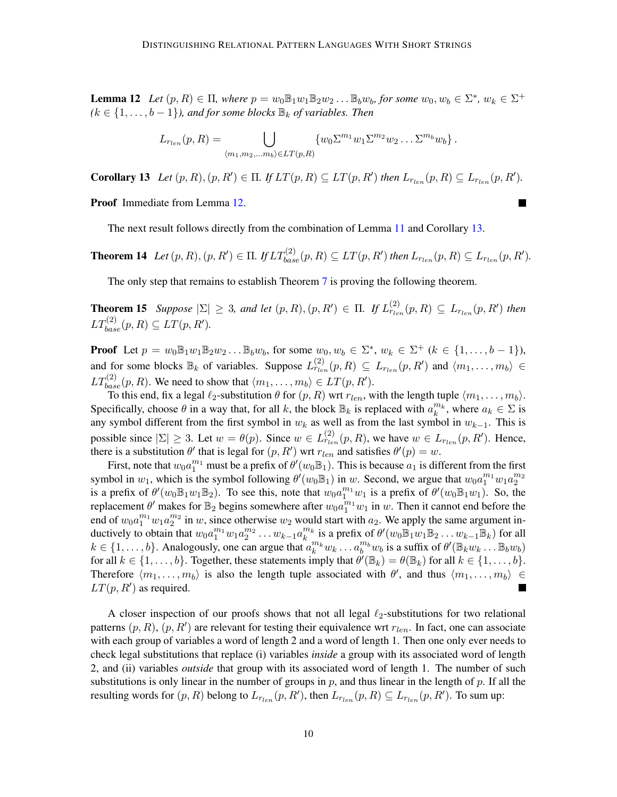**Lemma 12** Let  $(p, R) \in \Pi$ , where  $p = w_0 \mathbb{B}_1 w_1 \mathbb{B}_2 w_2 \dots \mathbb{B}_b w_b$ , for some  $w_0, w_b \in \Sigma^*$ ,  $w_k \in \Sigma^+$  $(k \in \{1, \ldots, b-1\})$ , and for some blocks  $\mathbb{B}_k$  of variables. Then

$$
L_{r_{len}}(p,R)=\bigcup_{\langle m_1,m_2,\ldots m_b\rangle\in LT(p,R)}\{w_0\Sigma^{m_1}w_1\Sigma^{m_2}w_2\ldots\Sigma^{m_b}w_b\}.
$$

<span id="page-9-2"></span>**Corollary 13** Let  $(p, R), (p, R') \in \Pi$ . If  $LT(p, R) \subseteq LT(p, R')$  then  $L_{r_{len}}(p, R) \subseteq L_{r_{len}}(p, R')$ .

Proof Immediate from Lemma [12.](#page-8-2)

The next result follows directly from the combination of Lemma [11](#page-8-3) and Corollary [13.](#page-9-2)

<span id="page-9-1"></span>**Theorem 14** Let  $(p, R), (p, R') \in \Pi$ . If  $LT_{base}^{(2)}(p, R) \subseteq LT(p, R')$  then  $L_{r_{len}}(p, R) \subseteq L_{r_{len}}(p, R')$ .

The only step that remains to establish Theorem [7](#page-6-3) is proving the following theorem.

<span id="page-9-0"></span>**Theorem 15** *Suppose*  $|\Sigma| \geq 3$ *, and let*  $(p, R), (p, R') \in \Pi$ *. If*  $L_{r_{len}}^{(2)}(p, R) \subseteq L_{r_{len}}(p, R')$  then  $LT_{base}^{(2)}(p, R) \subseteq LT(p, R').$ 

**Proof** Let  $p = w_0 \mathbb{B}_1 w_1 \mathbb{B}_2 w_2 ... \mathbb{B}_b w_b$ , for some  $w_0, w_b \in \Sigma^*$ ,  $w_k \in \Sigma^+$  ( $k \in \{1, ..., b-1\}$ ), and for some blocks  $\mathbb{B}_k$  of variables. Suppose  $L_{r_{len}}^{(2)}(p, R) \subseteq L_{r_{len}}(p, R')$  and  $\langle m_1, \ldots, m_b \rangle \in$  $LT_{base}^{(2)}(p, R)$ . We need to show that  $\langle m_1, \ldots, m_b \rangle \in LT(p, R').$ 

To this end, fix a legal  $\ell_2$ -substitution  $\theta$  for  $(p, R)$  wrt  $r_{len}$ , with the length tuple  $\langle m_1, \ldots, m_b \rangle$ . Specifically, choose  $\theta$  in a way that, for all k, the block  $\mathbb{B}_k$  is replaced with  $a_k^{m_k}$ , where  $a_k \in \Sigma$  is any symbol different from the first symbol in  $w_k$  as well as from the last symbol in  $w_{k-1}$ . This is possible since  $|\Sigma| \ge 3$ . Let  $w = \theta(p)$ . Since  $w \in L_{r_{len}}^{\{2\}}(p, R)$ , we have  $w \in L_{r_{len}}(p, R')$ . Hence, there is a substitution  $\theta'$  that is legal for  $(p, R')$  wrt  $r_{len}$  and satisfies  $\theta'(p) = w$ .

First, note that  $w_0a_1^{m_1}$  must be a prefix of  $\theta'(w_0\mathbb{B}_1)$ . This is because  $a_1$  is different from the first symbol in  $w_1$ , which is the symbol following  $\theta'(w_0 \mathbb{B}_1)$  in w. Second, we argue that  $w_0 a_1^{m_1} w_1 a_2^{m_2}$ is a prefix of  $\theta'(w_0 \mathbb{B}_1 w_1 \mathbb{B}_2)$ . To see this, note that  $w_0 a_1^{m_1} w_1$  is a prefix of  $\theta'(w_0 \mathbb{B}_1 w_1)$ . So, the replacement  $\theta'$  makes for  $\mathbb{B}_2$  begins somewhere after  $w_0 a_1^{m_1} w_1$  in w. Then it cannot end before the end of  $w_0 a_1^{m_1} w_1 a_2^{m_2}$  in w, since otherwise  $w_2$  would start with  $a_2$ . We apply the same argument in-2 ductively to obtain that  $w_0 a_1^{m_1} w_1 a_2^{m_2} \dots w_{k-1} a_k^{m_k}$  is a prefix of  $\theta'(w_0 \mathbb{B}_1 w_1 \mathbb{B}_2 \dots w_{k-1} \mathbb{B}_k)$  for all  $k \in \{1, \ldots, b\}$ . Analogously, one can argue that  $a_k^{m_k} w_k \ldots a_b^{m_b} w_b$  is a suffix of  $\theta'(\mathbb{B}_k w_k \ldots \mathbb{B}_b w_b)$ for all  $k \in \{1, \ldots, b\}$ . Together, these statements imply that  $\theta'(\mathbb{B}_k) = \theta(\mathbb{B}_k)$  for all  $k \in \{1, \ldots, b\}$ . Therefore  $\langle m_1, \ldots, m_b \rangle$  is also the length tuple associated with  $\theta'$ , and thus  $\langle m_1, \ldots, m_b \rangle \in$  $LT(p, R')$  as required.

A closer inspection of our proofs shows that not all legal  $\ell_2$ -substitutions for two relational patterns  $(p, R)$ ,  $(p, R')$  are relevant for testing their equivalence wrt  $r_{len}$ . In fact, one can associate with each group of variables a word of length 2 and a word of length 1. Then one only ever needs to check legal substitutions that replace (i) variables *inside* a group with its associated word of length 2, and (ii) variables *outside* that group with its associated word of length 1. The number of such substitutions is only linear in the number of groups in p, and thus linear in the length of p. If all the resulting words for  $(p, R)$  belong to  $L_{r_{len}}(p, R')$ , then  $L_{r_{len}}(p, R) \subseteq L_{r_{len}}(p, R')$ . To sum up: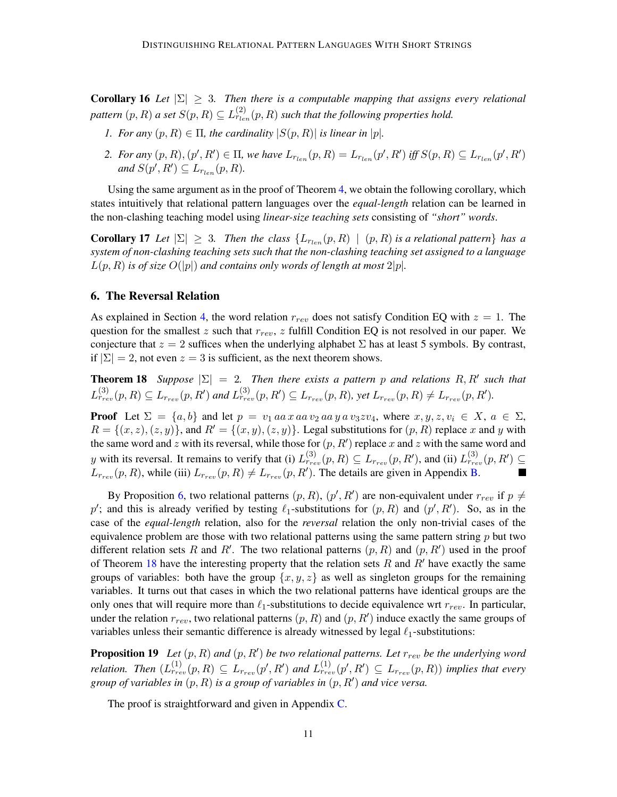**Corollary 16** *Let*  $|\Sigma| \geq 3$ *. Then there is a computable mapping that assigns every relational* pattern  $(p, R)$  a set  $S(p, R) \subseteq L_{r_{len}}^{(2)}(p, R)$  such that the following properties hold.

- *1. For any*  $(p, R) \in \Pi$ , the cardinality  $|S(p, R)|$  is linear in  $|p|$ .
- 2. For any  $(p, R), (p', R') \in \Pi$ , we have  $L_{r_{len}}(p, R) = L_{r_{len}}(p', R')$  iff  $S(p, R) \subseteq L_{r_{len}}(p', R')$  $and S(p', R') \subseteq L_{r_{len}}(p, R)$ .

Using the same argument as in the proof of Theorem [4,](#page-5-1) we obtain the following corollary, which states intuitively that relational pattern languages over the *equal-length* relation can be learned in the non-clashing teaching model using *linear-size teaching sets* consisting of *"short" words*.

**Corollary 17** Let  $|\Sigma| \geq 3$ . Then the class  $\{L_{r_{len}}(p,R) \mid (p,R) \text{ is a relational pattern}\}$  has a *system of non-clashing teaching sets such that the non-clashing teaching set assigned to a language*  $L(p, R)$  *is of size*  $O(|p|)$  *and contains only words of length at most*  $2|p|$ *.* 

#### <span id="page-10-0"></span>6. The Reversal Relation

As explained in Section [4,](#page-6-0) the word relation  $r_{rev}$  does not satisfy Condition EQ with  $z = 1$ . The question for the smallest z such that  $r_{rev}$ , z fulfill Condition EQ is not resolved in our paper. We conjecture that  $z = 2$  suffices when the underlying alphabet  $\Sigma$  has at least 5 symbols. By contrast, if  $|\Sigma| = 2$ , not even  $z = 3$  is sufficient, as the next theorem shows.

<span id="page-10-1"></span>**Theorem 18** Suppose  $|\Sigma| = 2$ . Then there exists a pattern p and relations R, R' such that  $L_{r_{rev}}^{(3)}(p, R) \subseteq L_{r_{rev}}(p, R')$  and  $L_{r_{rev}}^{(3)}(p, R') \subseteq L_{r_{rev}}(p, R)$ , yet  $L_{r_{rev}}(p, R) \neq L_{r_{rev}}(p, R').$ 

**Proof** Let  $\Sigma = \{a, b\}$  and let  $p = v_1$  aa x aa  $v_2$  aa y a  $v_3 z v_4$ , where  $x, y, z, v_i \in X$ ,  $a \in \Sigma$ ,  $R = \{(x, z), (z, y)\}\$ , and  $R' = \{(x, y), (z, y)\}\$ . Legal substitutions for  $(p, R)$  replace x and y with the same word and z with its reversal, while those for  $(p, R')$  replace x and z with the same word and y with its reversal. It remains to verify that (i)  $L_{r_{rev}}^{(3)}(p, R) \subseteq L_{r_{rev}}(p, R')$ , and (ii)  $L_{r_{rev}}^{(3)}(p, R') \subseteq$  $L_{r_{rev}}(p, R)$ , while (iii)  $L_{r_{rev}}(p, R) \neq L_{r_{rev}}(p, R')$ . The details are given in Appendix [B.](#page-14-0) ٦

By Proposition [6,](#page-6-4) two relational patterns  $(p, R)$ ,  $(p', R')$  are non-equivalent under  $r_{rev}$  if  $p \neq$ p'; and this is already verified by testing  $\ell_1$ -substitutions for  $(p, R)$  and  $(p', R')$ . So, as in the case of the *equal-length* relation, also for the *reversal* relation the only non-trivial cases of the equivalence problem are those with two relational patterns using the same pattern string  $p$  but two different relation sets R and R'. The two relational patterns  $(p, R)$  and  $(p, R')$  used in the proof of Theorem [18](#page-10-1) have the interesting property that the relation sets  $R$  and  $R'$  have exactly the same groups of variables: both have the group  $\{x, y, z\}$  as well as singleton groups for the remaining variables. It turns out that cases in which the two relational patterns have identical groups are the only ones that will require more than  $\ell_1$ -substitutions to decide equivalence wrt  $r_{rev}$ . In particular, under the relation  $r_{rev}$ , two relational patterns  $(p, R)$  and  $(p, R')$  induce exactly the same groups of variables unless their semantic difference is already witnessed by legal  $\ell_1$ -substitutions:

<span id="page-10-2"></span>**Proposition 19** Let  $(p, R)$  and  $(p, R')$  be two relational patterns. Let  $r_{rev}$  be the underlying word relation. Then  $(L_{r_{rev}}^{(1)}(p, R) \subseteq L_{r_{rev}}(p', R')$  and  $L_{r_{rev}}^{(1)}(p', R') \subseteq L_{r_{rev}}(p, R)$  implies that every group of variables in  $(p, R)$  is a group of variables in  $(p, R')$  and vice versa.

The proof is straightforward and given in Appendix [C.](#page-16-1)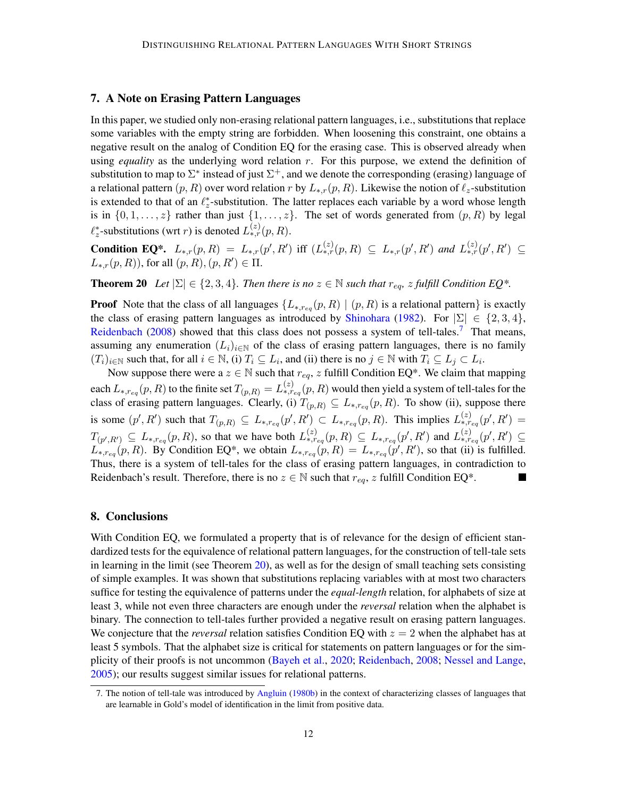## <span id="page-11-0"></span>7. A Note on Erasing Pattern Languages

In this paper, we studied only non-erasing relational pattern languages, i.e., substitutions that replace some variables with the empty string are forbidden. When loosening this constraint, one obtains a negative result on the analog of Condition EQ for the erasing case. This is observed already when using *equality* as the underlying word relation r. For this purpose, we extend the definition of substitution to map to  $\Sigma^*$  instead of just  $\Sigma^+$ , and we denote the corresponding (erasing) language of a relational pattern  $(p, R)$  over word relation r by  $L_{\ast,r}(p, R)$ . Likewise the notion of  $\ell_z$ -substitution is extended to that of an  $\ell_z^*$ -substitution. The latter replaces each variable by a word whose length is in  $\{0, 1, \ldots, z\}$  rather than just  $\{1, \ldots, z\}$ . The set of words generated from  $(p, R)$  by legal  $\ell_z^*$ -substitutions (wrt *r*) is denoted  $L_{*,r}^{(z)}(p, R)$ .

**Condition EQ\*.**  $L_{*,r}(p, R) = L_{*,r}(p', R')$  iff  $(L_{*,r}^{(z)}(p, R) ⊆ L_{*,r}(p', R')$  and  $L_{*,r}^{(z)}(p', R') ⊆$  $L_{*,r}(p, R)$ ), for all  $(p, R), (p, R') \in \Pi$ .

<span id="page-11-2"></span>**Theorem 20** *Let*  $|\Sigma| \in \{2, 3, 4\}$ *. Then there is no*  $z \in \mathbb{N}$  *such that*  $r_{eq}$ *, z fulfill Condition EQ\*.* 

**Proof** Note that the class of all languages  $\{L_{*,r_{eq}}(p, R) \mid (p, R)$  is a relational pattern} is exactly the class of erasing pattern languages as introduced by [Shinohara](#page-13-1) [\(1982\)](#page-13-1). For  $|\Sigma| \in \{2, 3, 4\}$ , [Reidenbach](#page-13-5) [\(2008\)](#page-13-5) showed that this class does not possess a system of tell-tales.<sup>[7](#page-11-1)</sup> That means, assuming any enumeration  $(L_i)_{i\in\mathbb{N}}$  of the class of erasing pattern languages, there is no family  $(T_i)_{i \in \mathbb{N}}$  such that, for all  $i \in \mathbb{N}$ , (i)  $T_i \subseteq L_i$ , and (ii) there is no  $j \in \mathbb{N}$  with  $T_i \subseteq L_j \subset L_i$ .

Now suppose there were a  $z \in \mathbb{N}$  such that  $r_{eq}$ ,  $z$  fulfill Condition EQ\*. We claim that mapping each  $L_{*,r_{eq}}(p,R)$  to the finite set  $T_{(p,R)}=L_{*,r_{eq}}^{(z)}(p,R)$  would then yield a system of tell-tales for the class of erasing pattern languages. Clearly, (i)  $T_{(p,R)} \subseteq L_{*,r_{eq}}(p,R)$ . To show (ii), suppose there is some  $(p', R')$  such that  $T_{(p,R)} \subseteq L_{*,r_{eq}}(p', R') \subset L_{*,r_{eq}}(p, R)$ . This implies  $L_{*,r_{eq}}^{(z)}(p', R') =$  $T_{(p',R')} \subseteq L_{*,r_{eq}}(p,R)$ , so that we have both  $L_{*,r_{eq}}^{(z)}(p,R) \subseteq L_{*,r_{eq}}(p',R')$  and  $L_{*,r_{eq}}^{(z)}(p',R') \subseteq$  $L_{*,reg}(p, R)$ . By Condition EQ<sup>\*</sup>, we obtain  $L_{*,reg}(p, R) = L_{*,reg}(p', R')$ , so that (ii) is fulfilled. Thus, there is a system of tell-tales for the class of erasing pattern languages, in contradiction to Reidenbach's result. Therefore, there is no  $z \in \mathbb{N}$  such that  $r_{eq}$ , z fulfill Condition EQ\*.

## 8. Conclusions

With Condition EO, we formulated a property that is of relevance for the design of efficient standardized tests for the equivalence of relational pattern languages, for the construction of tell-tale sets in learning in the limit (see Theorem [20\)](#page-11-2), as well as for the design of small teaching sets consisting of simple examples. It was shown that substitutions replacing variables with at most two characters suffice for testing the equivalence of patterns under the *equal-length* relation, for alphabets of size at least 3, while not even three characters are enough under the *reversal* relation when the alphabet is binary. The connection to tell-tales further provided a negative result on erasing pattern languages. We conjecture that the *reversal* relation satisfies Condition EQ with  $z = 2$  when the alphabet has at least 5 symbols. That the alphabet size is critical for statements on pattern languages or for the simplicity of their proofs is not uncommon [\(Bayeh et al.,](#page-12-6) [2020;](#page-12-6) [Reidenbach,](#page-13-5) [2008;](#page-13-5) [Nessel and Lange,](#page-13-15) [2005\)](#page-13-15); our results suggest similar issues for relational patterns.

<span id="page-11-1"></span><sup>7.</sup> The notion of tell-tale was introduced by [Angluin](#page-12-13) [\(1980b\)](#page-12-13) in the context of characterizing classes of languages that are learnable in Gold's model of identification in the limit from positive data.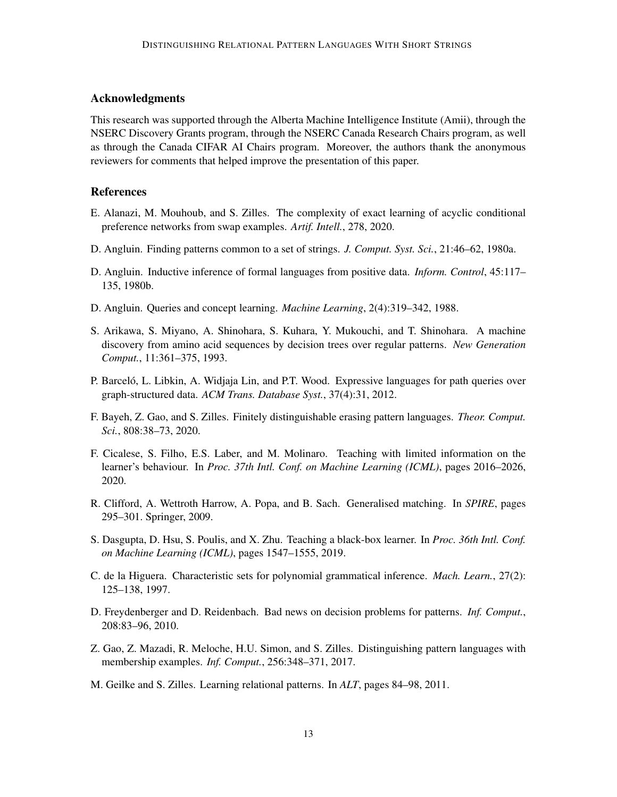## Acknowledgments

This research was supported through the Alberta Machine Intelligence Institute (Amii), through the NSERC Discovery Grants program, through the NSERC Canada Research Chairs program, as well as through the Canada CIFAR AI Chairs program. Moreover, the authors thank the anonymous reviewers for comments that helped improve the presentation of this paper.

## **References**

- <span id="page-12-10"></span>E. Alanazi, M. Mouhoub, and S. Zilles. The complexity of exact learning of acyclic conditional preference networks from swap examples. *Artif. Intell.*, 278, 2020.
- <span id="page-12-0"></span>D. Angluin. Finding patterns common to a set of strings. *J. Comput. Syst. Sci.*, 21:46–62, 1980a.
- <span id="page-12-13"></span>D. Angluin. Inductive inference of formal languages from positive data. *Inform. Control*, 45:117– 135, 1980b.
- <span id="page-12-5"></span>D. Angluin. Queries and concept learning. *Machine Learning*, 2(4):319–342, 1988.
- <span id="page-12-1"></span>S. Arikawa, S. Miyano, A. Shinohara, S. Kuhara, Y. Mukouchi, and T. Shinohara. A machine discovery from amino acid sequences by decision trees over regular patterns. *New Generation Comput.*, 11:361–375, 1993.
- <span id="page-12-2"></span>P. Barceló, L. Libkin, A. Widjaja Lin, and P.T. Wood. Expressive languages for path queries over graph-structured data. *ACM Trans. Database Syst.*, 37(4):31, 2012.
- <span id="page-12-6"></span>F. Bayeh, Z. Gao, and S. Zilles. Finitely distinguishable erasing pattern languages. *Theor. Comput. Sci.*, 808:38–73, 2020.
- <span id="page-12-11"></span>F. Cicalese, S. Filho, E.S. Laber, and M. Molinaro. Teaching with limited information on the learner's behaviour. In *Proc. 37th Intl. Conf. on Machine Learning (ICML)*, pages 2016–2026, 2020.
- <span id="page-12-3"></span>R. Clifford, A. Wettroth Harrow, A. Popa, and B. Sach. Generalised matching. In *SPIRE*, pages 295–301. Springer, 2009.
- <span id="page-12-12"></span>S. Dasgupta, D. Hsu, S. Poulis, and X. Zhu. Teaching a black-box learner. In *Proc. 36th Intl. Conf. on Machine Learning (ICML)*, pages 1547–1555, 2019.
- <span id="page-12-9"></span>C. de la Higuera. Characteristic sets for polynomial grammatical inference. *Mach. Learn.*, 27(2): 125–138, 1997.
- <span id="page-12-8"></span>D. Freydenberger and D. Reidenbach. Bad news on decision problems for patterns. *Inf. Comput.*, 208:83–96, 2010.
- <span id="page-12-7"></span>Z. Gao, Z. Mazadi, R. Meloche, H.U. Simon, and S. Zilles. Distinguishing pattern languages with membership examples. *Inf. Comput.*, 256:348–371, 2017.
- <span id="page-12-4"></span>M. Geilke and S. Zilles. Learning relational patterns. In *ALT*, pages 84–98, 2011.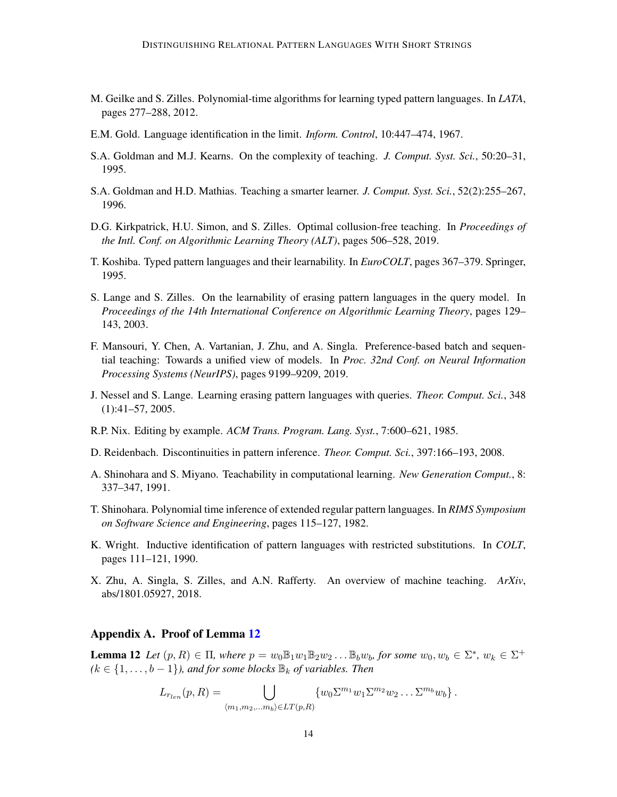- <span id="page-13-2"></span>M. Geilke and S. Zilles. Polynomial-time algorithms for learning typed pattern languages. In *LATA*, pages 277–288, 2012.
- <span id="page-13-11"></span>E.M. Gold. Language identification in the limit. *Inform. Control*, 10:447–474, 1967.
- <span id="page-13-9"></span>S.A. Goldman and M.J. Kearns. On the complexity of teaching. *J. Comput. Syst. Sci.*, 50:20–31, 1995.
- <span id="page-13-8"></span>S.A. Goldman and H.D. Mathias. Teaching a smarter learner. *J. Comput. Syst. Sci.*, 52(2):255–267, 1996.
- <span id="page-13-7"></span>D.G. Kirkpatrick, H.U. Simon, and S. Zilles. Optimal collusion-free teaching. In *Proceedings of the Intl. Conf. on Algorithmic Learning Theory (ALT)*, pages 506–528, 2019.
- <span id="page-13-3"></span>T. Koshiba. Typed pattern languages and their learnability. In *EuroCOLT*, pages 367–379. Springer, 1995.
- <span id="page-13-6"></span>S. Lange and S. Zilles. On the learnability of erasing pattern languages in the query model. In *Proceedings of the 14th International Conference on Algorithmic Learning Theory*, pages 129– 143, 2003.
- <span id="page-13-12"></span>F. Mansouri, Y. Chen, A. Vartanian, J. Zhu, and A. Singla. Preference-based batch and sequential teaching: Towards a unified view of models. In *Proc. 32nd Conf. on Neural Information Processing Systems (NeurIPS)*, pages 9199–9209, 2019.
- <span id="page-13-15"></span>J. Nessel and S. Lange. Learning erasing pattern languages with queries. *Theor. Comput. Sci.*, 348 (1):41–57, 2005.
- <span id="page-13-0"></span>R.P. Nix. Editing by example. *ACM Trans. Program. Lang. Syst.*, 7:600–621, 1985.
- <span id="page-13-5"></span>D. Reidenbach. Discontinuities in pattern inference. *Theor. Comput. Sci.*, 397:166–193, 2008.
- <span id="page-13-10"></span>A. Shinohara and S. Miyano. Teachability in computational learning. *New Generation Comput.*, 8: 337–347, 1991.
- <span id="page-13-1"></span>T. Shinohara. Polynomial time inference of extended regular pattern languages. In *RIMS Symposium on Software Science and Engineering*, pages 115–127, 1982.
- <span id="page-13-4"></span>K. Wright. Inductive identification of pattern languages with restricted substitutions. In *COLT*, pages 111–121, 1990.
- <span id="page-13-13"></span>X. Zhu, A. Singla, S. Zilles, and A.N. Rafferty. An overview of machine teaching. *ArXiv*, abs/1801.05927, 2018.

#### <span id="page-13-14"></span>Appendix A. Proof of Lemma [12](#page-8-2)

**Lemma 12** Let  $(p, R) \in \Pi$ , where  $p = w_0 \mathbb{B}_1 w_1 \mathbb{B}_2 w_2 \dots \mathbb{B}_b w_b$ , for some  $w_0, w_b \in \Sigma^*$ ,  $w_k \in \Sigma^+$  $(k \in \{1, \ldots, b-1\})$ , and for some blocks  $\mathbb{B}_k$  of variables. Then

$$
L_{r_{len}}(p,R)=\bigcup_{\langle m_1,m_2,\ldots m_b\rangle\in LT(p,R)}\{w_0\Sigma^{m_1}w_1\Sigma^{m_2}w_2\ldots\Sigma^{m_b}w_b\}\,.
$$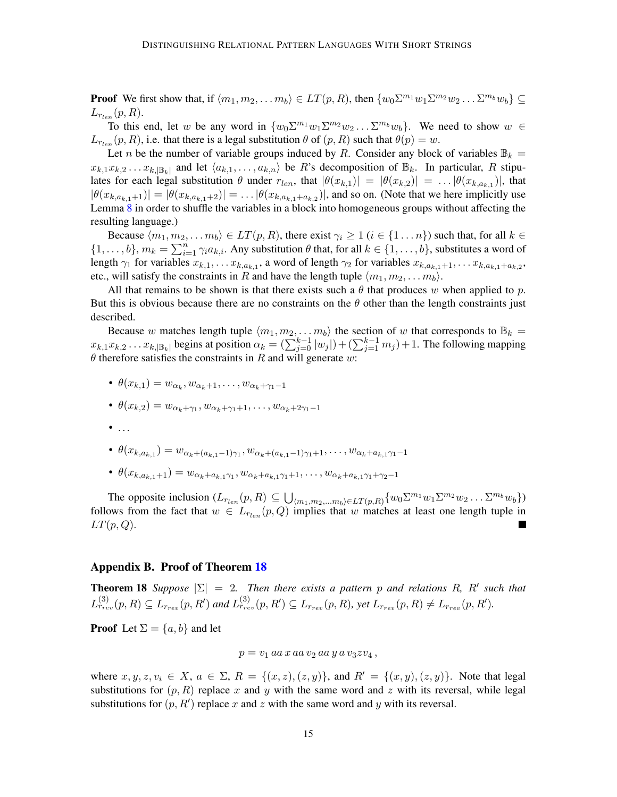**Proof** We first show that, if  $\langle m_1, m_2, \ldots m_b \rangle \in LT(p, R)$ , then  $\{w_0 \Sigma^{m_1} w_1 \Sigma^{m_2} w_2 \ldots \Sigma^{m_b} w_b\} \subseteq$  $L_{r_{len}}(p,R).$ 

To this end, let w be any word in  $\{w_0 \Sigma^{m_1} w_1 \Sigma^{m_2} w_2 \dots \Sigma^{m_b} w_b\}$ . We need to show  $w \in$  $L_{T_{len}}(p, R)$ , i.e. that there is a legal substitution  $\theta$  of  $(p, R)$  such that  $\theta(p) = w$ .

Let n be the number of variable groups induced by R. Consider any block of variables  $\mathbb{B}_k =$  $x_{k,1}x_{k,2} \ldots x_{k,|\mathbb{B}_k|}$  and let  $\langle a_{k,1}, \ldots, a_{k,n} \rangle$  be R's decomposition of  $\mathbb{B}_k$ . In particular, R stipulates for each legal substitution  $\theta$  under  $r_{len}$ , that  $|\theta(x_{k,1})| = |\theta(x_{k,2})| = ... |\theta(x_{k,a_{k,1}})|$ , that  $|\theta(x_{k,a_{k,1}+1})| = |\theta(x_{k,a_{k,1}+2})| = \dots |\theta(x_{k,a_{k,1}+a_{k,2}})|$ , and so on. (Note that we here implicitly use Lemma [8](#page-7-0) in order to shuffle the variables in a block into homogeneous groups without affecting the resulting language.)

Because  $\langle m_1, m_2, \ldots m_b \rangle \in LT(p, R)$ , there exist  $\gamma_i \geq 1$   $(i \in \{1 \ldots n\})$  such that, for all  $k \in$  $\{1,\ldots,b\}$ ,  $m_k = \sum_{i=1}^n \gamma_i a_{k,i}$ . Any substitution  $\theta$  that, for all  $k \in \{1,\ldots,b\}$ , substitutes a word of length  $\gamma_1$  for variables  $x_{k,1}, \ldots x_{k,a_{k,1}}$ , a word of length  $\gamma_2$  for variables  $x_{k,a_{k,1}+1}, \ldots x_{k,a_{k,1}+a_{k,2}}$ , etc., will satisfy the constraints in R and have the length tuple  $\langle m_1, m_2, \ldots m_b \rangle$ .

All that remains to be shown is that there exists such a  $\theta$  that produces w when applied to p. But this is obvious because there are no constraints on the  $\theta$  other than the length constraints just described.

Because w matches length tuple  $\langle m_1, m_2, \ldots, m_b \rangle$  the section of w that corresponds to  $\mathbb{B}_k =$  $x_{k,1}x_{k,2} \ldots x_{k,|\mathbb{B}_k|}$  begins at position  $\alpha_k = (\sum_{j=0}^{k-1} |w_j|) + (\sum_{j=1}^{k-1} m_j) + 1$ . The following mapping  $\theta$  therefore satisfies the constraints in R and will generate w:

•  $\theta(x_{k,1}) = w_{\alpha_k}, w_{\alpha_k+1}, \ldots, w_{\alpha_k+\gamma_1-1}$ 

• 
$$
\theta(x_{k,2}) = w_{\alpha_k + \gamma_1}, w_{\alpha_k + \gamma_1 + 1}, \ldots, w_{\alpha_k + 2\gamma_1 - 1}
$$

 $\bullet$  ...

• 
$$
\theta(x_{k,a_{k,1}}) = w_{\alpha_k + (a_{k,1}-1)\gamma_1}, w_{\alpha_k + (a_{k,1}-1)\gamma_1 + 1}, \ldots, w_{\alpha_k + a_{k,1}\gamma_1 - 1}
$$

•  $\theta(x_{k,a_{k,1}+1}) = w_{\alpha_k+a_{k,1}\gamma_1}, w_{\alpha_k+a_{k,1}\gamma_1+1}, \ldots, w_{\alpha_k+a_{k,1}\gamma_1+\gamma_2-1}$ 

The opposite inclusion  $(L_{r_{len}}(p, R) \subseteq \bigcup_{\langle m_1,m_2,...m_b\rangle \in LT(p, R)} \{w_0\Sigma^{m_1}w_1\Sigma^{m_2}w_2...\Sigma^{m_b}w_b\})$ follows from the fact that  $w \in L_{r_{len}}(p,Q)$  implies that w matches at least one length tuple in  $LT(p,Q)$ .

#### <span id="page-14-0"></span>Appendix B. Proof of Theorem [18](#page-10-1)

**Theorem 18** *Suppose*  $|\Sigma| = 2$ . *Then there exists a pattern p and relations R, R' such that*  $L_{r_{rev}}^{(3)}(p, R) \subseteq L_{r_{rev}}(p, R')$  and  $L_{r_{rev}}^{(3)}(p, R') \subseteq L_{r_{rev}}(p, R)$ , yet  $L_{r_{rev}}(p, R) \neq L_{r_{rev}}(p, R').$ 

**Proof** Let  $\Sigma = \{a, b\}$  and let

$$
p = v_1 \, aa \, x \, aa \, v_2 \, aa \, y \, a \, v_3 z v_4 \,,
$$

where  $x, y, z, v_i \in X$ ,  $a \in \Sigma$ ,  $R = \{(x, z), (z, y)\}\$ , and  $R' = \{(x, y), (z, y)\}\$ . Note that legal substitutions for  $(p, R)$  replace x and y with the same word and z with its reversal, while legal substitutions for  $(p, R')$  replace x and z with the same word and y with its reversal.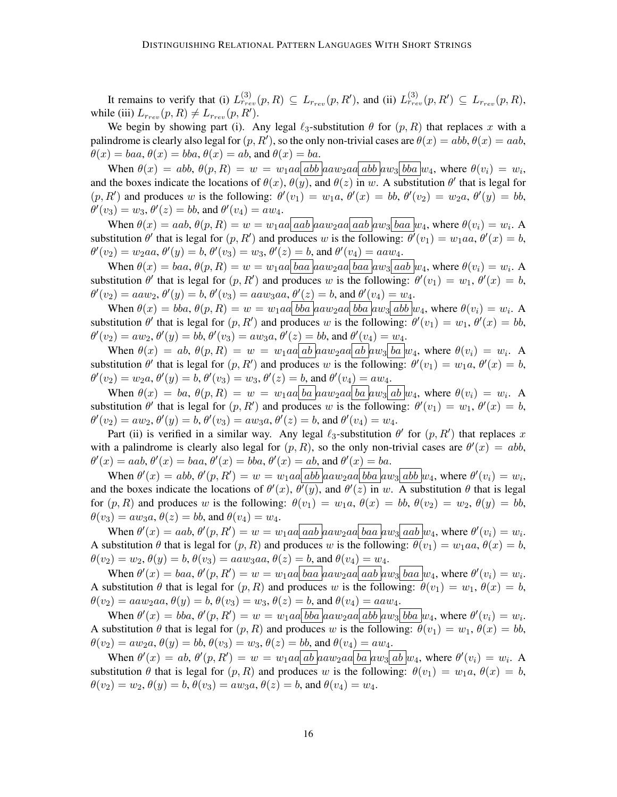It remains to verify that (i)  $L_{r_{rev}}^{(3)}(p, R) \subseteq L_{r_{rev}}(p, R')$ , and (ii)  $L_{r_{rev}}^{(3)}(p, R') \subseteq L_{r_{rev}}(p, R)$ , while (iii)  $L_{r_{rev}}(p, R) \neq L_{r_{rev}}(p, R').$ 

We begin by showing part (i). Any legal  $\ell_3$ -substitution  $\theta$  for  $(p, R)$  that replaces x with a palindrome is clearly also legal for  $(p, R')$ , so the only non-trivial cases are  $\theta(x) = abb$ ,  $\theta(x) = aab$ ,  $\theta(x) = baa, \theta(x) = bba, \theta(x) = ab$ , and  $\theta(x) = ba$ .

When  $\theta(x) = abb$ ,  $\theta(p, R) = w = w_1aa|abb|aaw_2aa|abb|aw_3|bba|w_4$ , where  $\theta(v_i) = w_i$ , and the boxes indicate the locations of  $\theta(x)$ ,  $\theta(y)$ , and  $\theta(z)$  in w. A substitution  $\theta'$  that is legal for  $(p, R')$  and produces w is the following:  $\theta'(v_1) = w_1 a, \theta'(x) = bb, \theta'(v_2) = w_2 a, \theta'(y) = bb$ ,  $\theta'(v_3) = w_3, \theta'(z) = bb$ , and  $\theta'(v_4) = aw_4$ .

When  $\theta(x) = aab$ ,  $\theta(p, R) = w = w_1aa|aa b|aaw_2aa|aa b|aw_3|baa|w_4$ , where  $\theta(v_i) = w_i$ . A substitution  $\theta'$  that is legal for  $(p, R')$  and produces w is the following:  $\theta'(v_1) = w_1aa, \theta'(x) = b$ ,  $\theta'(v_2) = w_2aa, \theta'(y) = b, \theta'(v_3) = w_3, \theta'(z) = b, \text{ and } \theta'(v_4) = aaw_4.$ 

When  $\theta(x) = baa, \theta(p, R) = w = w_1aa \underline{baa} \underline{aa} w_2aa \underline{baa} \underline{a} \underline{a} w_3 \underline{aab} \underline{w_4}$ , where  $\theta(v_i) = w_i$ . A substitution  $\theta'$  that is legal for  $(p, R')$  and produces w is the following:  $\theta'(v_1) = w_1$ ,  $\theta'(x) = b$ ,  $\theta'(v_2) = aaw_2, \theta'(y) = b, \theta'(v_3) = aaw_3aa, \theta'(z) = b$ , and  $\theta'(v_4) = w_4$ .

When  $\theta(x) = bba$ ,  $\theta(p, R) = w = w_1aa \mid bba \mid aaw_2aa \mid bba \mid aw_3 \mid abb \mid w_4$ , where  $\theta(v_i) = w_i$ . A substitution  $\theta'$  that is legal for  $(p, R')$  and produces w is the following:  $\theta'(v_1) = w_1$ ,  $\theta'(x) = bb$ ,  $\theta'(v_2) = aw_2, \theta'(y) = bb, \theta'(v_3) = aw_3a, \theta'(z) = bb$ , and  $\theta'(v_4) = w_4$ .

When  $\theta(x) = ab$ ,  $\theta(p, R) = w = w_1aa | ab | aaw_2aa | ab | aw_3 | ba | w_4$ , where  $\theta(v_i) = w_i$ . A substitution  $\theta'$  that is legal for  $(p, R')$  and produces w is the following:  $\theta'(v_1) = w_1 a$ ,  $\theta'(x) = b$ ,  $\theta'(v_2) = w_2 a, \theta'(y) = b, \theta'(v_3) = w_3, \theta'(z) = b$ , and  $\theta'(v_4) = aw_4$ .

When θ(x) = ba, θ(p, R) = w = w1aa ba aaw2aa ba aw<sup>3</sup> ab w4, where θ(vi) = w<sup>i</sup> . A substitution  $\theta'$  that is legal for  $(p, R')$  and produces w is the following:  $\theta'(v_1) = w_1$ ,  $\theta'(x) = b$ ,  $\theta'(v_2) = aw_2, \theta'(y) = b, \theta'(v_3) = aw_3a, \theta'(z) = b$ , and  $\theta'(v_4) = w_4$ .

Part (ii) is verified in a similar way. Any legal  $\ell_3$ -substitution  $\theta'$  for  $(p, R')$  that replaces x with a palindrome is clearly also legal for  $(p, R)$ , so the only non-trivial cases are  $\theta'(x) = abb$ ,  $\theta'(x) = aab, \theta'(x) = baa, \theta'(x) = bba, \theta'(x) = ab$ , and  $\theta'(x) = ba$ .

When  $\theta'(x) = abb$ ,  $\theta'(p, R') = w = w_1aa \,abb \, aaw_2aa \, bba \, awy_3 \, abb \, w_4$ , where  $\theta'(v_i) = w_i$ , and the boxes indicate the locations of  $\theta'(x)$ ,  $\theta'(y)$ , and  $\theta'(z)$  in w. A substitution  $\theta$  that is legal for  $(p, R)$  and produces w is the following:  $\theta(v_1) = w_1 a, \theta(x) = bb, \theta(v_2) = w_2, \theta(y) = bb$ ,  $\theta(v_3) = aw_3a, \theta(z) = bb$ , and  $\theta(v_4) = w_4$ .

When  $\theta'(x) = aab$ ,  $\theta'(p, R') = w = w_1aa|aa b|aaw_2aa|baa|aw_3|aab|w_4$ , where  $\theta'(v_i) = w_i$ . A substitution  $\theta$  that is legal for  $(p, R)$  and produces w is the following:  $\theta(v_1) = w_1aa, \theta(x) = b$ ,  $\theta(v_2) = w_2, \theta(y) = b, \theta(v_3) = aaw_3aa, \theta(z) = b$ , and  $\theta(v_4) = w_4$ .

When  $\theta'(x) = baa, \theta'(p, R') = w = w_1aa \b{baa} \b{aa} w_2aa \b{aa} \b{baa} w_3 \b{baa} w_4$ , where  $\theta'(v_i) = w_i$ . A substitution  $\theta$  that is legal for  $(p, R)$  and produces w is the following:  $\theta(v_1) = w_1, \theta(x) = b$ ,  $\theta(v_2) = aaw_2aa, \theta(y) = b, \theta(v_3) = w_3, \theta(z) = b$ , and  $\theta(v_4) = aaw_4$ .

When  $\theta'(x) = bba$ ,  $\theta'(p, R') = w = w_1aa \b{bba} \b{aaw_2aa} \b{abb} \b{aw_3} \b{ba} \b{w_4}$ , where  $\theta'(v_i) = w_i$ . A substitution  $\theta$  that is legal for  $(p, R)$  and produces w is the following:  $\theta(v_1) = w_1$ ,  $\theta(x) = bb$ ,  $\theta(v_2) = aw_2a, \theta(y) = bb, \theta(v_3) = w_3, \theta(z) = bb$ , and  $\theta(v_4) = aw_4$ .

When  $\theta'(x) = ab$ ,  $\theta'(p, R') = w = w_1aa|ab|aaw_2aa|ba|aw_3|ab|w_4$ , where  $\theta'(v_i) = w_i$ . A substitution  $\theta$  that is legal for  $(p, R)$  and produces w is the following:  $\theta(v_1) = w_1 a, \theta(x) = b$ ,  $\theta(v_2) = w_2, \theta(y) = b, \theta(v_3) = aw_3a, \theta(z) = b$ , and  $\theta(v_4) = w_4$ .